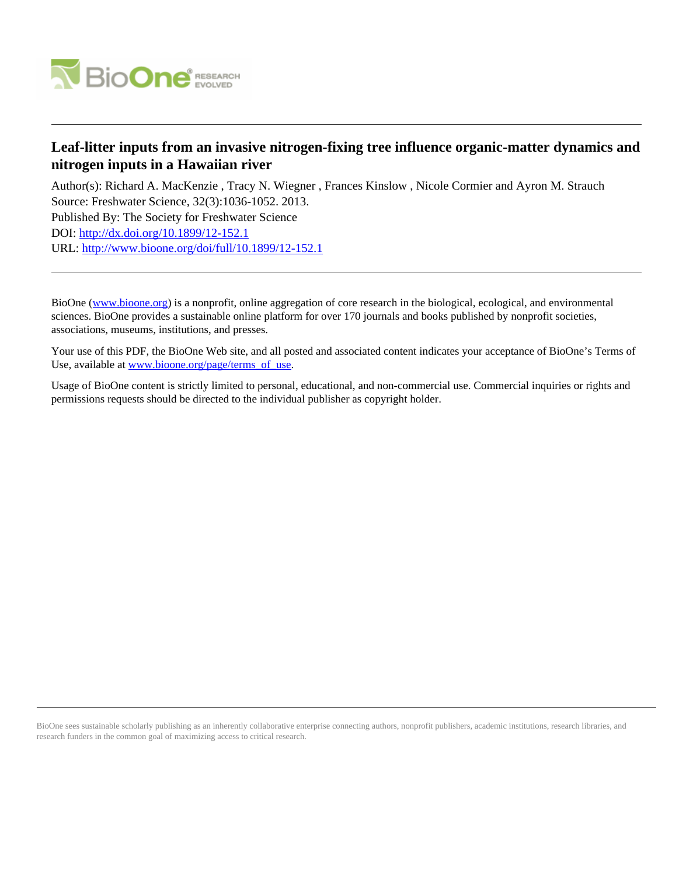

# **Leaf-litter inputs from an invasive nitrogen-fixing tree influence organic-matter dynamics and nitrogen inputs in a Hawaiian river**

Author(s): Richard A. MacKenzie , Tracy N. Wiegner , Frances Kinslow , Nicole Cormier and Ayron M. Strauch Source: Freshwater Science, 32(3):1036-1052. 2013. Published By: The Society for Freshwater Science DOI:<http://dx.doi.org/10.1899/12-152.1> URL: <http://www.bioone.org/doi/full/10.1899/12-152.1>

BioOne [\(www.bioone.org\)](http://www.bioone.org) is a nonprofit, online aggregation of core research in the biological, ecological, and environmental sciences. BioOne provides a sustainable online platform for over 170 journals and books published by nonprofit societies, associations, museums, institutions, and presses.

Your use of this PDF, the BioOne Web site, and all posted and associated content indicates your acceptance of BioOne's Terms of Use, available at www.bioone.org/page/terms of use.

Usage of BioOne content is strictly limited to personal, educational, and non-commercial use. Commercial inquiries or rights and permissions requests should be directed to the individual publisher as copyright holder.

BioOne sees sustainable scholarly publishing as an inherently collaborative enterprise connecting authors, nonprofit publishers, academic institutions, research libraries, and research funders in the common goal of maximizing access to critical research.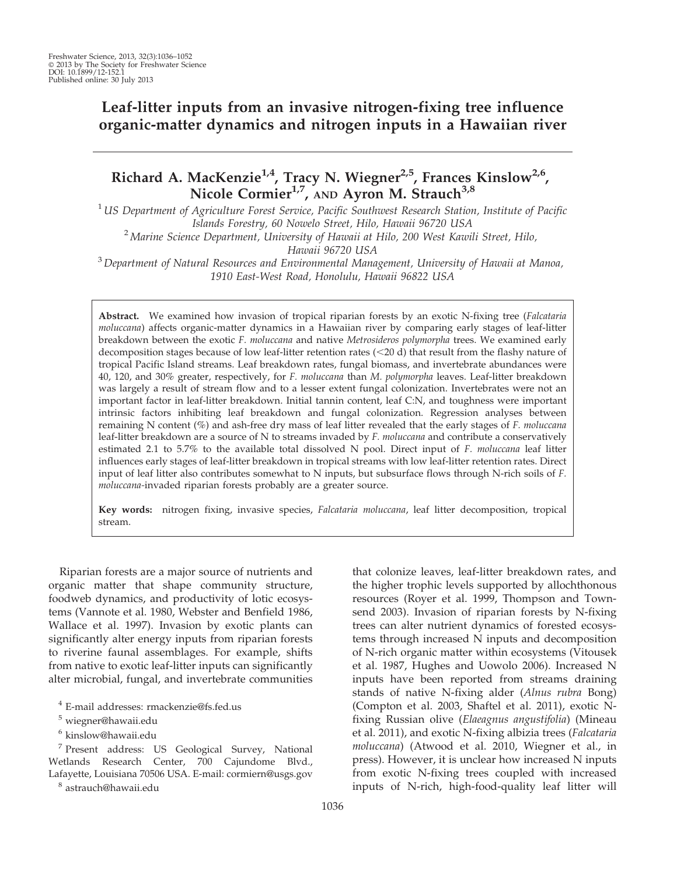Leaf-litter inputs from an invasive nitrogen-fixing tree influence organic-matter dynamics and nitrogen inputs in a Hawaiian river

## Richard A. MacKenzie<sup>1,4</sup>, Tracy N. Wiegner<sup>2,5</sup>, Frances Kinslow<sup>2,6</sup>, Nicole Cormier<sup>1,7</sup>, AND Ayron M. Strauch<sup>3,8</sup>

 $1$  US Department of Agriculture Forest Service, Pacific Southwest Research Station, Institute of Pacific Islands Forestry, 60 Nowelo Street, Hilo, Hawaii 96720 USA <sup>2</sup> Marine Science Department, University of Hawaii at Hilo, 200 West Kawili Street, Hilo, Hawaii 96720 USA <sup>3</sup> Department of Natural Resources and Environmental Management, University of Hawaii at Manoa, 1910 East-West Road, Honolulu, Hawaii 96822 USA

Abstract. We examined how invasion of tropical riparian forests by an exotic N-fixing tree (Falcataria moluccana) affects organic-matter dynamics in a Hawaiian river by comparing early stages of leaf-litter breakdown between the exotic F. moluccana and native Metrosideros polymorpha trees. We examined early decomposition stages because of low leaf-litter retention rates  $(<20 d)$  that result from the flashy nature of tropical Pacific Island streams. Leaf breakdown rates, fungal biomass, and invertebrate abundances were 40, 120, and 30% greater, respectively, for F. moluccana than M. polymorpha leaves. Leaf-litter breakdown was largely a result of stream flow and to a lesser extent fungal colonization. Invertebrates were not an important factor in leaf-litter breakdown. Initial tannin content, leaf C:N, and toughness were important intrinsic factors inhibiting leaf breakdown and fungal colonization. Regression analyses between remaining N content (%) and ash-free dry mass of leaf litter revealed that the early stages of F. moluccana leaf-litter breakdown are a source of N to streams invaded by F. moluccana and contribute a conservatively estimated 2.1 to 5.7% to the available total dissolved N pool. Direct input of F. moluccana leaf litter influences early stages of leaf-litter breakdown in tropical streams with low leaf-litter retention rates. Direct input of leaf litter also contributes somewhat to N inputs, but subsurface flows through N-rich soils of F. moluccana-invaded riparian forests probably are a greater source.

Key words: nitrogen fixing, invasive species, Falcataria moluccana, leaf litter decomposition, tropical stream.

Riparian forests are a major source of nutrients and organic matter that shape community structure, foodweb dynamics, and productivity of lotic ecosystems (Vannote et al. 1980, Webster and Benfield 1986, Wallace et al. 1997). Invasion by exotic plants can significantly alter energy inputs from riparian forests to riverine faunal assemblages. For example, shifts from native to exotic leaf-litter inputs can significantly alter microbial, fungal, and invertebrate communities

<sup>4</sup> E-mail addresses: rmackenzie@fs.fed.us

 $^8$  astrauch@hawaii.edu

that colonize leaves, leaf-litter breakdown rates, and the higher trophic levels supported by allochthonous resources (Royer et al. 1999, Thompson and Townsend 2003). Invasion of riparian forests by N-fixing trees can alter nutrient dynamics of forested ecosystems through increased N inputs and decomposition of N-rich organic matter within ecosystems (Vitousek et al. 1987, Hughes and Uowolo 2006). Increased N inputs have been reported from streams draining stands of native N-fixing alder (Alnus rubra Bong) (Compton et al. 2003, Shaftel et al. 2011), exotic Nfixing Russian olive (Elaeagnus angustifolia) (Mineau et al. 2011), and exotic N-fixing albizia trees (Falcataria moluccana) (Atwood et al. 2010, Wiegner et al., in press). However, it is unclear how increased N inputs from exotic N-fixing trees coupled with increased inputs of N-rich, high-food-quality leaf litter will

<sup>5</sup> wiegner@hawaii.edu

 $^6$ kinslow@hawaii.edu

<sup>&</sup>lt;sup>7</sup> Present address: US Geological Survey, National Wetlands Research Center, 700 Cajundome Blvd., Lafayette, Louisiana 70506 USA. E-mail: cormiern@usgs.gov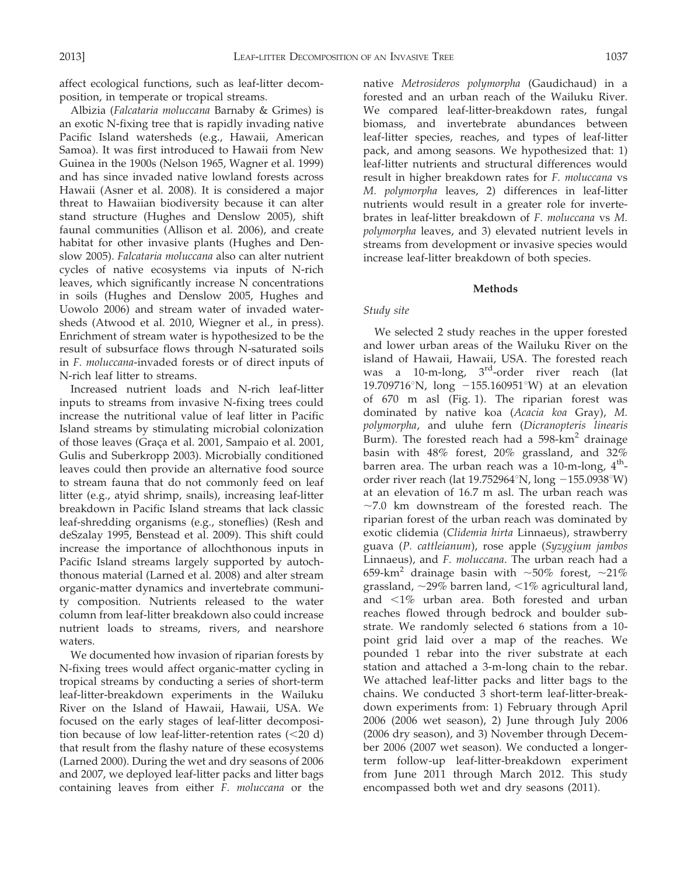affect ecological functions, such as leaf-litter decomposition, in temperate or tropical streams.

Albizia (Falcataria moluccana Barnaby & Grimes) is an exotic N-fixing tree that is rapidly invading native Pacific Island watersheds (e.g., Hawaii, American Samoa). It was first introduced to Hawaii from New Guinea in the 1900s (Nelson 1965, Wagner et al. 1999) and has since invaded native lowland forests across Hawaii (Asner et al. 2008). It is considered a major threat to Hawaiian biodiversity because it can alter stand structure (Hughes and Denslow 2005), shift faunal communities (Allison et al. 2006), and create habitat for other invasive plants (Hughes and Denslow 2005). Falcataria moluccana also can alter nutrient cycles of native ecosystems via inputs of N-rich leaves, which significantly increase N concentrations in soils (Hughes and Denslow 2005, Hughes and Uowolo 2006) and stream water of invaded watersheds (Atwood et al. 2010, Wiegner et al., in press). Enrichment of stream water is hypothesized to be the result of subsurface flows through N-saturated soils in F. moluccana-invaded forests or of direct inputs of N-rich leaf litter to streams.

Increased nutrient loads and N-rich leaf-litter inputs to streams from invasive N-fixing trees could increase the nutritional value of leaf litter in Pacific Island streams by stimulating microbial colonization of those leaves (Graça et al. 2001, Sampaio et al. 2001, Gulis and Suberkropp 2003). Microbially conditioned leaves could then provide an alternative food source to stream fauna that do not commonly feed on leaf litter (e.g., atyid shrimp, snails), increasing leaf-litter breakdown in Pacific Island streams that lack classic leaf-shredding organisms (e.g., stoneflies) (Resh and deSzalay 1995, Benstead et al. 2009). This shift could increase the importance of allochthonous inputs in Pacific Island streams largely supported by autochthonous material (Larned et al. 2008) and alter stream organic-matter dynamics and invertebrate community composition. Nutrients released to the water column from leaf-litter breakdown also could increase nutrient loads to streams, rivers, and nearshore waters.

We documented how invasion of riparian forests by N-fixing trees would affect organic-matter cycling in tropical streams by conducting a series of short-term leaf-litter-breakdown experiments in the Wailuku River on the Island of Hawaii, Hawaii, USA. We focused on the early stages of leaf-litter decomposition because of low leaf-litter-retention rates  $(<20 d)$ that result from the flashy nature of these ecosystems (Larned 2000). During the wet and dry seasons of 2006 and 2007, we deployed leaf-litter packs and litter bags containing leaves from either F. moluccana or the native Metrosideros polymorpha (Gaudichaud) in a forested and an urban reach of the Wailuku River. We compared leaf-litter-breakdown rates, fungal biomass, and invertebrate abundances between leaf-litter species, reaches, and types of leaf-litter pack, and among seasons. We hypothesized that: 1) leaf-litter nutrients and structural differences would result in higher breakdown rates for F. moluccana vs M. polymorpha leaves, 2) differences in leaf-litter nutrients would result in a greater role for invertebrates in leaf-litter breakdown of F. moluccana vs M. polymorpha leaves, and 3) elevated nutrient levels in streams from development or invasive species would increase leaf-litter breakdown of both species.

#### **Methods**

## Study site

We selected 2 study reaches in the upper forested and lower urban areas of the Wailuku River on the island of Hawaii, Hawaii, USA. The forested reach was a 10-m-long,  $3<sup>rd</sup>$ -order river reach (lat 19.709716°N, long  $-155.160951°W$ ) at an elevation of 670 m asl (Fig. 1). The riparian forest was dominated by native koa (Acacia koa Gray), M. polymorpha, and uluhe fern (Dicranopteris linearis Burm). The forested reach had a  $598$ - $km<sup>2</sup>$  drainage basin with 48% forest, 20% grassland, and 32% barren area. The urban reach was a 10-m-long,  $4<sup>th</sup>$ order river reach (lat  $19.752964^{\circ}N$ , long  $-155.0938^{\circ}W$ ) at an elevation of 16.7 m asl. The urban reach was  $\sim$ 7.0 km downstream of the forested reach. The riparian forest of the urban reach was dominated by exotic clidemia (Clidemia hirta Linnaeus), strawberry guava (P. cattleianum), rose apple (Syzygium jambos Linnaeus), and F. moluccana. The urban reach had a 659-km<sup>2</sup> drainage basin with  $\sim$ 50% forest,  $\sim$ 21% grassland,  $\sim$ 29% barren land,  $\lt$ 1% agricultural land, and  $\leq$ 1% urban area. Both forested and urban reaches flowed through bedrock and boulder substrate. We randomly selected 6 stations from a 10 point grid laid over a map of the reaches. We pounded 1 rebar into the river substrate at each station and attached a 3-m-long chain to the rebar. We attached leaf-litter packs and litter bags to the chains. We conducted 3 short-term leaf-litter-breakdown experiments from: 1) February through April 2006 (2006 wet season), 2) June through July 2006 (2006 dry season), and 3) November through December 2006 (2007 wet season). We conducted a longerterm follow-up leaf-litter-breakdown experiment from June 2011 through March 2012. This study encompassed both wet and dry seasons (2011).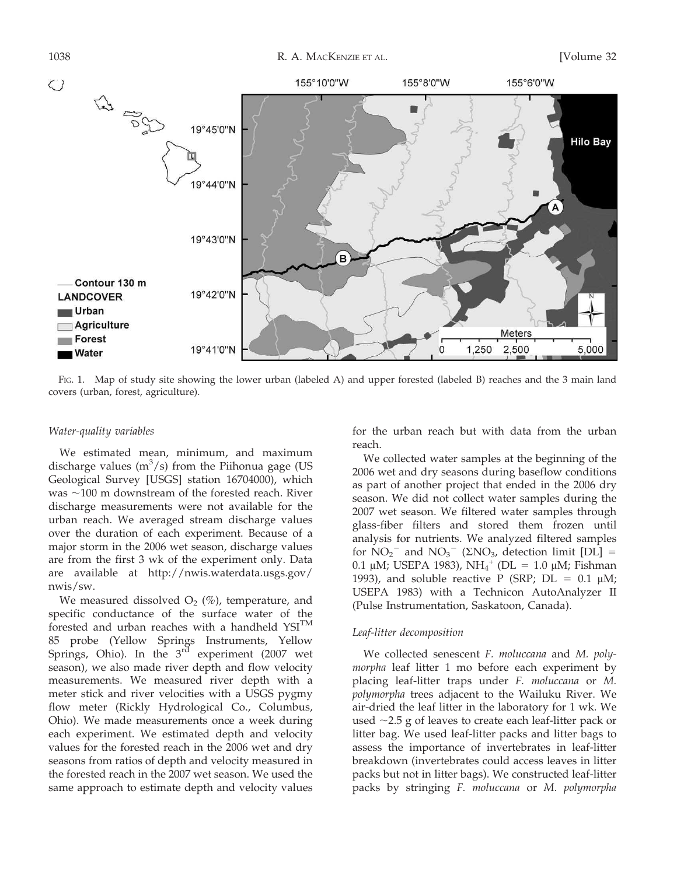

FIG. 1. Map of study site showing the lower urban (labeled A) and upper forested (labeled B) reaches and the 3 main land covers (urban, forest, agriculture).

## Water-quality variables

We estimated mean, minimum, and maximum discharge values  $(m^3/s)$  from the Piihonua gage (US Geological Survey [USGS] station 16704000), which was  $\sim$ 100 m downstream of the forested reach. River discharge measurements were not available for the urban reach. We averaged stream discharge values over the duration of each experiment. Because of a major storm in the 2006 wet season, discharge values are from the first 3 wk of the experiment only. Data are available at http://nwis.waterdata.usgs.gov/ nwis/sw.

We measured dissolved  $O_2$  (%), temperature, and specific conductance of the surface water of the forested and urban reaches with a handheld  $YSI^{TM}$ 85 probe (Yellow Springs Instruments, Yellow Springs, Ohio). In the  $3<sup>rd</sup>$  experiment (2007 wet season), we also made river depth and flow velocity measurements. We measured river depth with a meter stick and river velocities with a USGS pygmy flow meter (Rickly Hydrological Co., Columbus, Ohio). We made measurements once a week during each experiment. We estimated depth and velocity values for the forested reach in the 2006 wet and dry seasons from ratios of depth and velocity measured in the forested reach in the 2007 wet season. We used the same approach to estimate depth and velocity values

for the urban reach but with data from the urban reach.

We collected water samples at the beginning of the 2006 wet and dry seasons during baseflow conditions as part of another project that ended in the 2006 dry season. We did not collect water samples during the 2007 wet season. We filtered water samples through glass-fiber filters and stored them frozen until analysis for nutrients. We analyzed filtered samples for  $NO_2^-$  and  $NO_3^-$  ( $\Sigma NO_3$ , detection limit [DL] = 0.1 μM; USEPA 1983),  $NH_4^+$  (DL = 1.0 μM; Fishman 1993), and soluble reactive P (SRP;  $DL = 0.1 \mu M$ ; USEPA 1983) with a Technicon AutoAnalyzer II (Pulse Instrumentation, Saskatoon, Canada).

#### Leaf-litter decomposition

We collected senescent F. moluccana and M. polymorpha leaf litter 1 mo before each experiment by placing leaf-litter traps under F. moluccana or M. polymorpha trees adjacent to the Wailuku River. We air-dried the leaf litter in the laboratory for 1 wk. We used  $\sim$ 2.5 g of leaves to create each leaf-litter pack or litter bag. We used leaf-litter packs and litter bags to assess the importance of invertebrates in leaf-litter breakdown (invertebrates could access leaves in litter packs but not in litter bags). We constructed leaf-litter packs by stringing F. moluccana or M. polymorpha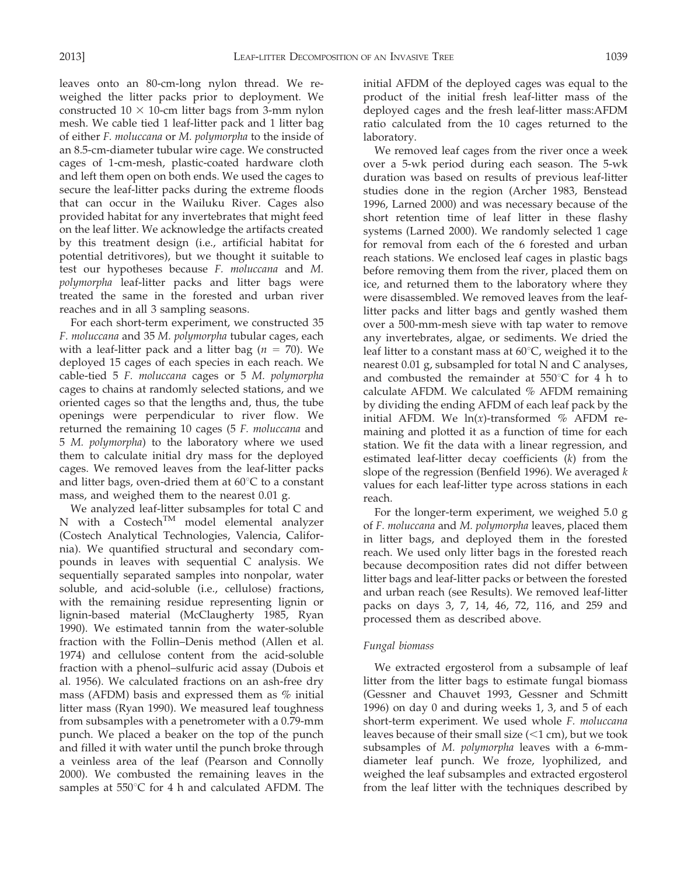leaves onto an 80-cm-long nylon thread. We reweighed the litter packs prior to deployment. We constructed  $10 \times 10$ -cm litter bags from 3-mm nylon mesh. We cable tied 1 leaf-litter pack and 1 litter bag of either F. moluccana or M. polymorpha to the inside of an 8.5-cm-diameter tubular wire cage. We constructed cages of 1-cm-mesh, plastic-coated hardware cloth and left them open on both ends. We used the cages to secure the leaf-litter packs during the extreme floods that can occur in the Wailuku River. Cages also provided habitat for any invertebrates that might feed on the leaf litter. We acknowledge the artifacts created by this treatment design (i.e., artificial habitat for potential detritivores), but we thought it suitable to test our hypotheses because F. moluccana and M. polymorpha leaf-litter packs and litter bags were treated the same in the forested and urban river reaches and in all 3 sampling seasons.

For each short-term experiment, we constructed 35 F. moluccana and 35 M. polymorpha tubular cages, each with a leaf-litter pack and a litter bag ( $n = 70$ ). We deployed 15 cages of each species in each reach. We cable-tied 5 F. moluccana cages or 5 M. polymorpha cages to chains at randomly selected stations, and we oriented cages so that the lengths and, thus, the tube openings were perpendicular to river flow. We returned the remaining 10 cages (5 F. moluccana and 5 M. polymorpha) to the laboratory where we used them to calculate initial dry mass for the deployed cages. We removed leaves from the leaf-litter packs and litter bags, oven-dried them at  $60^{\circ}$ C to a constant mass, and weighed them to the nearest 0.01 g.

We analyzed leaf-litter subsamples for total C and N with a  $\text{Costech}^{\text{TM}}$  model elemental analyzer (Costech Analytical Technologies, Valencia, California). We quantified structural and secondary compounds in leaves with sequential C analysis. We sequentially separated samples into nonpolar, water soluble, and acid-soluble (i.e., cellulose) fractions, with the remaining residue representing lignin or lignin-based material (McClaugherty 1985, Ryan 1990). We estimated tannin from the water-soluble fraction with the Follin–Denis method (Allen et al. 1974) and cellulose content from the acid-soluble fraction with a phenol–sulfuric acid assay (Dubois et al. 1956). We calculated fractions on an ash-free dry mass (AFDM) basis and expressed them as  $%$  initial litter mass (Ryan 1990). We measured leaf toughness from subsamples with a penetrometer with a 0.79-mm punch. We placed a beaker on the top of the punch and filled it with water until the punch broke through a veinless area of the leaf (Pearson and Connolly 2000). We combusted the remaining leaves in the samples at  $550^{\circ}$ C for 4 h and calculated AFDM. The initial AFDM of the deployed cages was equal to the product of the initial fresh leaf-litter mass of the deployed cages and the fresh leaf-litter mass:AFDM ratio calculated from the 10 cages returned to the laboratory.

We removed leaf cages from the river once a week over a 5-wk period during each season. The 5-wk duration was based on results of previous leaf-litter studies done in the region (Archer 1983, Benstead 1996, Larned 2000) and was necessary because of the short retention time of leaf litter in these flashy systems (Larned 2000). We randomly selected 1 cage for removal from each of the 6 forested and urban reach stations. We enclosed leaf cages in plastic bags before removing them from the river, placed them on ice, and returned them to the laboratory where they were disassembled. We removed leaves from the leaflitter packs and litter bags and gently washed them over a 500-mm-mesh sieve with tap water to remove any invertebrates, algae, or sediments. We dried the leaf litter to a constant mass at  $60^{\circ}$ C, weighed it to the nearest 0.01 g, subsampled for total N and C analyses, and combusted the remainder at  $550^{\circ}$ C for 4 h to calculate AFDM. We calculated  $%$  AFDM remaining by dividing the ending AFDM of each leaf pack by the initial AFDM. We  $ln(x)$ -transformed % AFDM remaining and plotted it as a function of time for each station. We fit the data with a linear regression, and estimated leaf-litter decay coefficients (k) from the slope of the regression (Benfield 1996). We averaged  $k$ values for each leaf-litter type across stations in each reach.

For the longer-term experiment, we weighed 5.0 g of F. moluccana and M. polymorpha leaves, placed them in litter bags, and deployed them in the forested reach. We used only litter bags in the forested reach because decomposition rates did not differ between litter bags and leaf-litter packs or between the forested and urban reach (see Results). We removed leaf-litter packs on days 3, 7, 14, 46, 72, 116, and 259 and processed them as described above.

## Fungal biomass

We extracted ergosterol from a subsample of leaf litter from the litter bags to estimate fungal biomass (Gessner and Chauvet 1993, Gessner and Schmitt 1996) on day 0 and during weeks 1, 3, and 5 of each short-term experiment. We used whole F. moluccana leaves because of their small size  $(<1$  cm), but we took subsamples of M. polymorpha leaves with a 6-mmdiameter leaf punch. We froze, lyophilized, and weighed the leaf subsamples and extracted ergosterol from the leaf litter with the techniques described by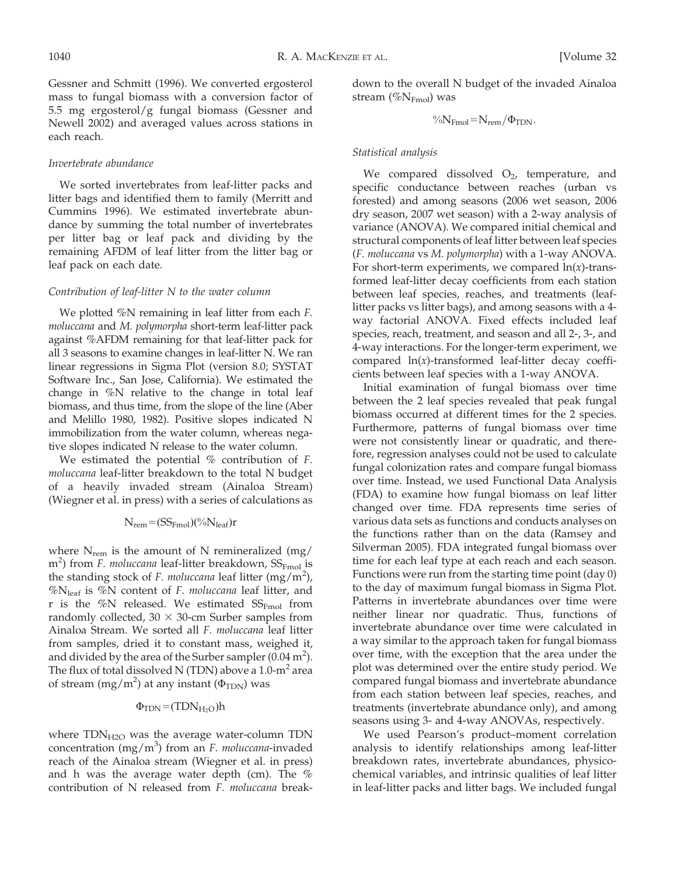Gessner and Schmitt (1996). We converted ergosterol mass to fungal biomass with a conversion factor of 5.5 mg ergosterol/g fungal biomass (Gessner and Newell 2002) and averaged values across stations in each reach.

## Invertebrate abundance

We sorted invertebrates from leaf-litter packs and litter bags and identified them to family (Merritt and Cummins 1996). We estimated invertebrate abundance by summing the total number of invertebrates per litter bag or leaf pack and dividing by the remaining AFDM of leaf litter from the litter bag or leaf pack on each date.

#### Contribution of leaf-litter N to the water column

We plotted %N remaining in leaf litter from each F. moluccana and M. polymorpha short-term leaf-litter pack against %AFDM remaining for that leaf-litter pack for all 3 seasons to examine changes in leaf-litter N. We ran linear regressions in Sigma Plot (version 8.0; SYSTAT Software Inc., San Jose, California). We estimated the change in %N relative to the change in total leaf biomass, and thus time, from the slope of the line (Aber and Melillo 1980, 1982). Positive slopes indicated N immobilization from the water column, whereas negative slopes indicated N release to the water column.

We estimated the potential  $%$  contribution of *F*. moluccana leaf-litter breakdown to the total N budget of a heavily invaded stream (Ainaloa Stream) (Wiegner et al. in press) with a series of calculations as

$$
N_{rem} = (SS_{Fmol})({\%N_{leaf}})r
$$

where  $N_{\text{rem}}$  is the amount of N remineralized (mg/ m<sup>2</sup>) from *F. moluccana* leaf-litter breakdown, SS<sub>Fmol</sub> is the standing stock of *F. moluccana* leaf litter (mg/m<sup>2</sup>),  $\%N_{\text{leaf}}$  is  $\%N$  content of *F. moluccana* leaf litter, and r is the %N released. We estimated  $SS_{Fmol}$  from randomly collected,  $30 \times 30$ -cm Surber samples from Ainaloa Stream. We sorted all F. moluccana leaf litter from samples, dried it to constant mass, weighed it, and divided by the area of the Surber sampler (0.04 m<sup>2</sup>). The flux of total dissolved N (TDN) above a 1.0- $m<sup>2</sup>$  area of stream (mg/m<sup>2</sup>) at any instant ( $\Phi_{\rm TDN}$ ) was

$$
\Phi_{\text{TDN}} = (\text{TDN}_{H_2O})h
$$

where  $TDN_{H2O}$  was the average water-column  $TDN$ concentration (mg/m<sup>3</sup>) from an *F. moluccana*-invaded reach of the Ainaloa stream (Wiegner et al. in press) and h was the average water depth (cm). The  $%$ contribution of N released from F. moluccana breakdown to the overall N budget of the invaded Ainaloa stream (%N<sub>Fmol</sub>) was

$$
\%N_{Fmol} = N_{rem} / \Phi_{TDN}.
$$

#### Statistical analysis

We compared dissolved  $O<sub>2</sub>$ , temperature, and specific conductance between reaches (urban vs forested) and among seasons (2006 wet season, 2006 dry season, 2007 wet season) with a 2-way analysis of variance (ANOVA). We compared initial chemical and structural components of leaf litter between leaf species (F. moluccana vs M. polymorpha) with a 1-way ANOVA. For short-term experiments, we compared  $ln(x)$ -transformed leaf-litter decay coefficients from each station between leaf species, reaches, and treatments (leaflitter packs vs litter bags), and among seasons with a 4 way factorial ANOVA. Fixed effects included leaf species, reach, treatment, and season and all 2-, 3-, and 4-way interactions. For the longer-term experiment, we compared  $ln(x)$ -transformed leaf-litter decay coefficients between leaf species with a 1-way ANOVA.

Initial examination of fungal biomass over time between the 2 leaf species revealed that peak fungal biomass occurred at different times for the 2 species. Furthermore, patterns of fungal biomass over time were not consistently linear or quadratic, and therefore, regression analyses could not be used to calculate fungal colonization rates and compare fungal biomass over time. Instead, we used Functional Data Analysis (FDA) to examine how fungal biomass on leaf litter changed over time. FDA represents time series of various data sets as functions and conducts analyses on the functions rather than on the data (Ramsey and Silverman 2005). FDA integrated fungal biomass over time for each leaf type at each reach and each season. Functions were run from the starting time point (day 0) to the day of maximum fungal biomass in Sigma Plot. Patterns in invertebrate abundances over time were neither linear nor quadratic. Thus, functions of invertebrate abundance over time were calculated in a way similar to the approach taken for fungal biomass over time, with the exception that the area under the plot was determined over the entire study period. We compared fungal biomass and invertebrate abundance from each station between leaf species, reaches, and treatments (invertebrate abundance only), and among seasons using 3- and 4-way ANOVAs, respectively.

We used Pearson's product–moment correlation analysis to identify relationships among leaf-litter breakdown rates, invertebrate abundances, physicochemical variables, and intrinsic qualities of leaf litter in leaf-litter packs and litter bags. We included fungal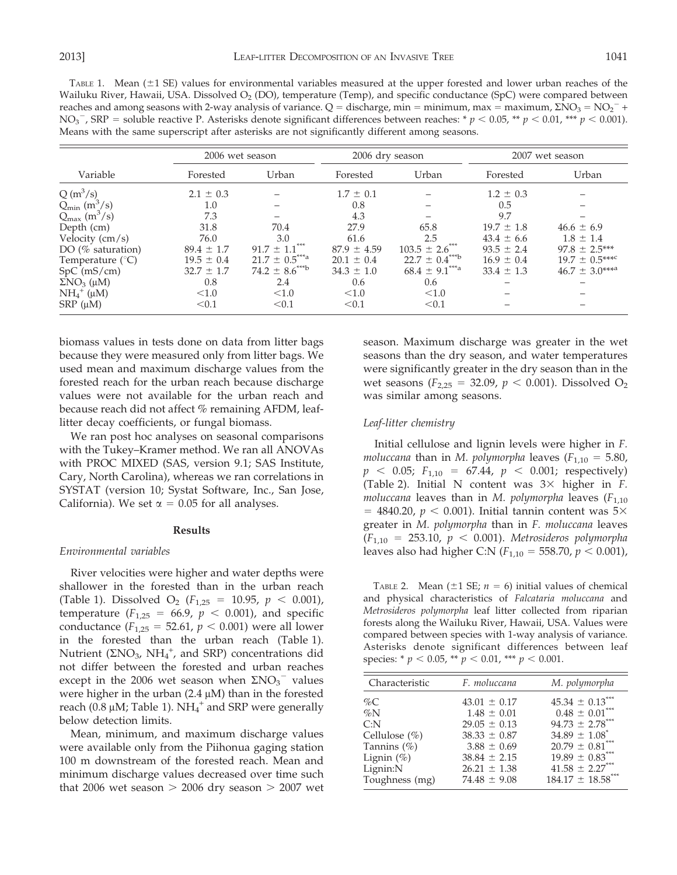TABLE 1. Mean  $(\pm 1 \text{ SE})$  values for environmental variables measured at the upper forested and lower urban reaches of the Wailuku River, Hawaii, USA. Dissolved  $O_2$  (DO), temperature (Temp), and specific conductance (SpC) were compared between reaches and among seasons with 2-way analysis of variance. Q = discharge,  $min = minimum$ ,  $max = maximum$ ,  $\overline{2NO_3} = NO_2^- +$  $NO<sub>3</sub><sup>-</sup>$ , SRP = soluble reactive P. Asterisks denote significant differences between reaches: \*  $p < 0.05$ , \*\*  $p < 0.01$ , \*\*\*  $p < 0.001$ ). Means with the same superscript after asterisks are not significantly different among seasons.

|                                       | 2006 wet season |                                | 2006 dry season |                                | 2007 wet season |                       |
|---------------------------------------|-----------------|--------------------------------|-----------------|--------------------------------|-----------------|-----------------------|
| Variable                              | Forested        | Urban                          | Forested        | Urban                          | Forested        | Urban                 |
| $Q(m^3/s)$<br>$Q_{min}(m^3/s)$        | $2.1 \pm 0.3$   |                                | $1.7 \pm 0.1$   |                                | $1.2 \pm 0.3$   |                       |
|                                       | 1.0             |                                | 0.8             |                                | 0.5             |                       |
| $Q_{\text{max}}(m^3/s)$               | 7.3             |                                | 4.3             |                                | 9.7             |                       |
| Depth (cm)                            | 31.8            | 70.4                           | 27.9            | 65.8                           | $19.7 \pm 1.8$  | $46.6 \pm 6.9$        |
| Velocity $\frac{\text{cm}}{\text{s}}$ | 76.0            | 3.0                            | 61.6            | 2.5                            | $43.4 \pm 6.6$  | $1.8 \pm 1.4$         |
| DO ( $%$ saturation)                  | $89.4 \pm 1.7$  | $91.7 \pm 1.1$                 | $87.9 \pm 4.59$ | $103.5 \pm 2.6$ <sup>***</sup> | $93.5 \pm 2.4$  | $97.8 \pm 2.5***$     |
| Temperature (°C)                      | $19.5 \pm 0.4$  | $21.7 \pm 0.5$ <sup>***a</sup> | $20.1 \pm 0.4$  | $22.7 \pm 0.4^{***b}$          | $16.9 \pm 0.4$  | $19.7 \pm 0.5***$     |
| SpC(mS/cm)                            | $32.7 \pm 1.7$  | $74.2 \pm 8.6$ <sup>***b</sup> | $34.3 \pm 1.0$  | $68.4 \pm 9.1$ <sup>***a</sup> | $33.4 \pm 1.3$  | $46.7 \pm 3.0***^{a}$ |
| $\overline{2}NO_3$ ( $\mu$ M)         | 0.8             | 2.4                            | 0.6             | 0.6                            |                 |                       |
| $NH_4^+$ ( $\mu$ M)                   | < 1.0           | < 1.0                          | < 1.0           | < 1.0                          |                 |                       |
| $SRP(\mu M)$                          | < 0.1           | < 0.1                          | < 0.1           | < 0.1                          |                 |                       |

biomass values in tests done on data from litter bags because they were measured only from litter bags. We used mean and maximum discharge values from the forested reach for the urban reach because discharge values were not available for the urban reach and because reach did not affect % remaining AFDM, leaflitter decay coefficients, or fungal biomass.

We ran post hoc analyses on seasonal comparisons with the Tukey–Kramer method. We ran all ANOVAs with PROC MIXED (SAS, version 9.1; SAS Institute, Cary, North Carolina), whereas we ran correlations in SYSTAT (version 10; Systat Software, Inc., San Jose, California). We set  $\alpha = 0.05$  for all analyses.

#### Results

#### Environmental variables

River velocities were higher and water depths were shallower in the forested than in the urban reach (Table 1). Dissolved O<sub>2</sub> ( $F_{1,25} = 10.95$ ,  $p < 0.001$ ), temperature ( $F_{1,25} = 66.9$ ,  $p < 0.001$ ), and specific conductance  $(F_{1,25} = 52.61, p < 0.001)$  were all lower in the forested than the urban reach (Table 1). Nutrient ( $\text{2NO}_3$ ,  $\text{NH}_4^+$ , and SRP) concentrations did not differ between the forested and urban reaches except in the 2006 wet season when  $\Sigma NO_{3}^{-}$  values were higher in the urban (2.4  $\mu$ M) than in the forested reach (0.8  $\mu$ M; Table 1). NH<sub>4</sub><sup>+</sup> and SRP were generally below detection limits.

Mean, minimum, and maximum discharge values were available only from the Piihonua gaging station 100 m downstream of the forested reach. Mean and minimum discharge values decreased over time such that 2006 wet season  $>$  2006 dry season  $>$  2007 wet season. Maximum discharge was greater in the wet seasons than the dry season, and water temperatures were significantly greater in the dry season than in the wet seasons ( $F_{2,25} = 32.09$ ,  $p < 0.001$ ). Dissolved O<sub>2</sub> was similar among seasons.

#### Leaf-litter chemistry

Initial cellulose and lignin levels were higher in F. moluccana than in M. polymorpha leaves ( $F_{1,10} = 5.80$ ,  $p$  < 0.05;  $F_{1,10}$  = 67.44,  $p$  < 0.001; respectively) (Table 2). Initial N content was  $3 \times$  higher in F. *moluccana* leaves than in M. *polymorpha* leaves ( $F_{1,10}$ ) = 4840.20,  $p < 0.001$ ). Initial tannin content was  $5\times$ greater in M. polymorpha than in F. moluccana leaves  $(F_{1,10} = 253.10, p < 0.001)$ . Metrosideros polymorpha leaves also had higher C:N ( $F_{1,10} = 558.70$ ,  $p < 0.001$ ),

TABLE 2. Mean  $(\pm 1 \text{ SE}; n = 6)$  initial values of chemical and physical characteristics of Falcataria moluccana and Metrosideros polymorpha leaf litter collected from riparian forests along the Wailuku River, Hawaii, USA. Values were compared between species with 1-way analysis of variance. Asterisks denote significant differences between leaf species: \*  $p < 0.05$ , \*\*  $p < 0.01$ , \*\*\*  $p < 0.001$ .

| Characteristic                                                                | F. moluccana                                                                                                       | M. polymorpha                                                                                                                                                |
|-------------------------------------------------------------------------------|--------------------------------------------------------------------------------------------------------------------|--------------------------------------------------------------------------------------------------------------------------------------------------------------|
| % $C$<br>$\%N$<br>C: N<br>Cellulose $(\%)$<br>Tannins $(\%)$<br>Lignin $(\%)$ | $43.01 \pm 0.17$<br>$1.48 \pm 0.01$<br>$29.05 \pm 0.13$<br>$38.33 \pm 0.87$<br>$3.88 \pm 0.69$<br>$38.84 \pm 2.15$ | $45.34 \pm 0.13***$<br>$0.48 \pm 0.01***$<br>$94.73 \pm 2.78$ <sup>**</sup><br>$34.89 \pm 1.08$ <sup>*</sup><br>$20.79 \pm 0.81$ ***<br>$19.89 \pm 0.83$ *** |
| Lignin:N                                                                      | $26.21 \pm 1.38$                                                                                                   | $41.58 \pm 2.27***$                                                                                                                                          |
| Toughness (mg)                                                                | $74.48 \pm 9.08$                                                                                                   | $184.17 \pm 18.58$ ***                                                                                                                                       |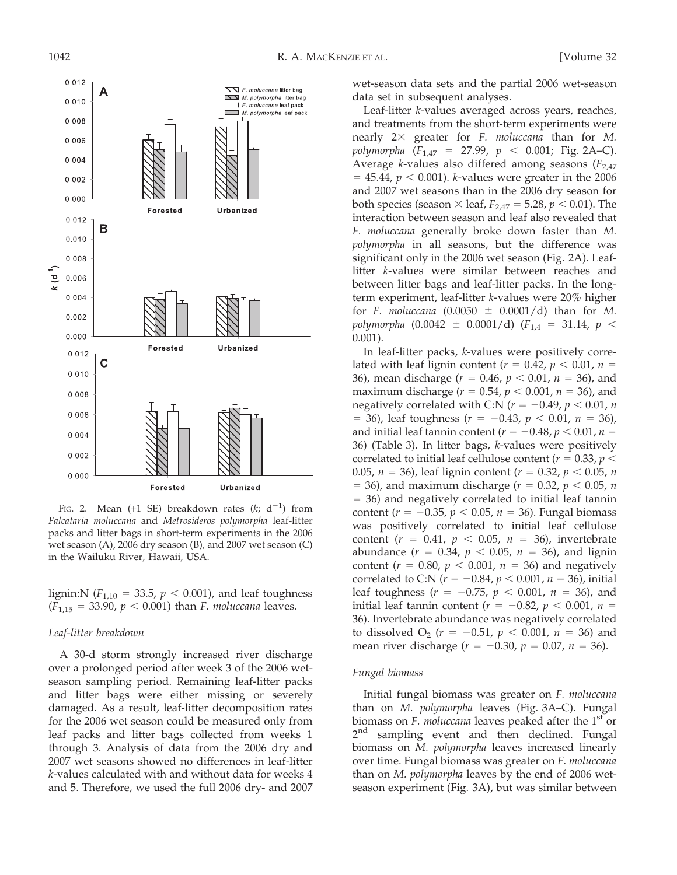

FIG. 2. Mean (+1 SE) breakdown rates  $(k; d^{-1})$  from Falcataria moluccana and Metrosideros polymorpha leaf-litter packs and litter bags in short-term experiments in the 2006 wet season (A), 2006 dry season (B), and 2007 wet season (C) in the Wailuku River, Hawaii, USA.

lignin:N ( $F_{1,10} = 33.5$ ,  $p < 0.001$ ), and leaf toughness  $(F_{1,15} = 33.90, p < 0.001)$  than *F. moluccana* leaves.

#### Leaf-litter breakdown

A 30-d storm strongly increased river discharge over a prolonged period after week 3 of the 2006 wetseason sampling period. Remaining leaf-litter packs and litter bags were either missing or severely damaged. As a result, leaf-litter decomposition rates for the 2006 wet season could be measured only from leaf packs and litter bags collected from weeks 1 through 3. Analysis of data from the 2006 dry and 2007 wet seasons showed no differences in leaf-litter k-values calculated with and without data for weeks 4 and 5. Therefore, we used the full 2006 dry- and 2007 wet-season data sets and the partial 2006 wet-season data set in subsequent analyses.

Leaf-litter k-values averaged across years, reaches, and treatments from the short-term experiments were nearly  $2 \times$  greater for *F. moluccana* than for *M.* polymorpha  $(F_{1,47} = 27.99, p < 0.001;$  Fig. 2A–C). Average k-values also differed among seasons  $(F<sub>2.47</sub>)$  $= 45.44, p < 0.001$ ). k-values were greater in the 2006 and 2007 wet seasons than in the 2006 dry season for both species (season  $\times$  leaf,  $F_{2,47} = 5.28$ ,  $p < 0.01$ ). The interaction between season and leaf also revealed that F. moluccana generally broke down faster than M. polymorpha in all seasons, but the difference was significant only in the 2006 wet season (Fig. 2A). Leaflitter k-values were similar between reaches and between litter bags and leaf-litter packs. In the longterm experiment, leaf-litter k-values were 20% higher for F. moluccana (0.0050  $\pm$  0.0001/d) than for M. polymorpha (0.0042  $\pm$  0.0001/d) (F<sub>1,4</sub> = 31.14, p < 0.001).

In leaf-litter packs, k-values were positively correlated with leaf lignin content ( $r = 0.42$ ,  $p < 0.01$ ,  $n =$ 36), mean discharge ( $r = 0.46$ ,  $p < 0.01$ ,  $n = 36$ ), and maximum discharge ( $r = 0.54$ ,  $p < 0.001$ ,  $n = 36$ ), and negatively correlated with C:N ( $r = -0.49$ ,  $p < 0.01$ , n  $= 36$ ), leaf toughness ( $r = -0.43$ ,  $p < 0.01$ ,  $n = 36$ ), and initial leaf tannin content ( $r = -0.48$ ,  $p < 0.01$ ,  $n =$ 36) (Table 3). In litter bags, k-values were positively correlated to initial leaf cellulose content ( $r = 0.33$ ,  $p <$ 0.05,  $n = 36$ ), leaf lignin content ( $r = 0.32$ ,  $p < 0.05$ , n = 36), and maximum discharge ( $r$  = 0.32,  $p$  < 0.05, n = 36) and negatively correlated to initial leaf tannin content ( $r = -0.35$ ,  $p < 0.05$ ,  $n = 36$ ). Fungal biomass was positively correlated to initial leaf cellulose content ( $r = 0.41$ ,  $p < 0.05$ ,  $n = 36$ ), invertebrate abundance ( $r = 0.34$ ,  $p < 0.05$ ,  $n = 36$ ), and lignin content ( $r = 0.80$ ,  $p < 0.001$ ,  $n = 36$ ) and negatively correlated to C:N ( $r = -0.84$ ,  $p < 0.001$ ,  $n = 36$ ), initial leaf toughness ( $r = -0.75$ ,  $p < 0.001$ ,  $n = 36$ ), and initial leaf tannin content ( $r = -0.82$ ,  $p < 0.001$ ,  $n =$ 36). Invertebrate abundance was negatively correlated to dissolved  $O_2$  ( $r = -0.51$ ,  $p < 0.001$ ,  $n = 36$ ) and mean river discharge ( $r = -0.30$ ,  $p = 0.07$ ,  $n = 36$ ).

#### Fungal biomass

Initial fungal biomass was greater on F. moluccana than on M. polymorpha leaves (Fig. 3A–C). Fungal biomass on  $F$ . *moluccana* leaves peaked after the  $1<sup>st</sup>$  or 2<sup>nd</sup> sampling event and then declined. Fungal biomass on M. polymorpha leaves increased linearly over time. Fungal biomass was greater on F. moluccana than on M. polymorpha leaves by the end of 2006 wetseason experiment (Fig. 3A), but was similar between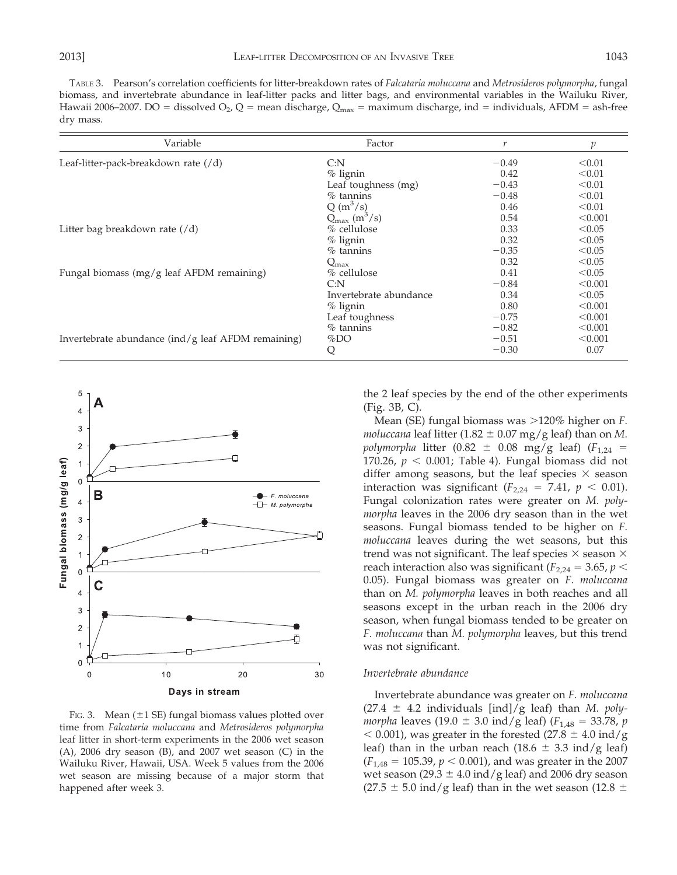TABLE 3. Pearson's correlation coefficients for litter-breakdown rates of Falcataria moluccana and Metrosideros polymorpha, fungal biomass, and invertebrate abundance in leaf-litter packs and litter bags, and environmental variables in the Wailuku River, Hawaii 2006–2007. DO = dissolved  $O_2$ , Q = mean discharge,  $Q_{\text{max}}$  = maximum discharge, ind = individuals, AFDM = ash-free dry mass.

| Variable                                                     | Factor                  | r       | р       |
|--------------------------------------------------------------|-------------------------|---------|---------|
| Leaf-litter-pack-breakdown rate (/d)                         | C: N                    | $-0.49$ | < 0.01  |
|                                                              | $%$ lignin              | 0.42    | < 0.01  |
|                                                              | Leaf toughness (mg)     | $-0.43$ | < 0.01  |
|                                                              | $\%$ tannins            | $-0.48$ | < 0.01  |
|                                                              | $Q(m^3/s)$              | 0.46    | < 0.01  |
|                                                              | $Q_{\text{max}}(m^3/s)$ | 0.54    | < 0.001 |
| Litter bag breakdown rate (/d)                               | $%$ cellulose           | 0.33    | < 0.05  |
|                                                              | $%$ lignin              | 0.32    | < 0.05  |
|                                                              | $%$ tannins             | $-0.35$ | < 0.05  |
|                                                              | $Q_{\text{max}}$        | 0.32    | < 0.05  |
| Fungal biomass $(mg/g \text{ leaf } AFDM \text{ remaining})$ | % cellulose             | 0.41    | < 0.05  |
|                                                              | C: N                    | $-0.84$ | < 0.001 |
|                                                              | Invertebrate abundance  | 0.34    | < 0.05  |
|                                                              | $%$ lignin              | 0.80    | < 0.001 |
|                                                              | Leaf toughness          | $-0.75$ | < 0.001 |
|                                                              | $%$ tannins             | $-0.82$ | < 0.001 |
| Invertebrate abundance (ind/g leaf AFDM remaining)           | $\%$ DO                 | $-0.51$ | < 0.001 |
|                                                              | Q                       | $-0.30$ | 0.07    |



FIG. 3. Mean  $(\pm 1$  SE) fungal biomass values plotted over time from Falcataria moluccana and Metrosideros polymorpha leaf litter in short-term experiments in the 2006 wet season (A), 2006 dry season (B), and 2007 wet season (C) in the Wailuku River, Hawaii, USA. Week 5 values from the 2006 wet season are missing because of a major storm that happened after week 3.

the 2 leaf species by the end of the other experiments (Fig. 3B, C).

Mean (SE) fungal biomass was  $>120\%$  higher on F. *moluccana* leaf litter (1.82  $\pm$  0.07 mg/g leaf) than on M. polymorpha litter (0.82  $\pm$  0.08 mg/g leaf) ( $F_{1,24}$  = 170.26,  $p < 0.001$ ; Table 4). Fungal biomass did not differ among seasons, but the leaf species  $\times$  season interaction was significant ( $F_{2,24} = 7.41$ ,  $p < 0.01$ ). Fungal colonization rates were greater on M. poly*morpha* leaves in the 2006 dry season than in the wet seasons. Fungal biomass tended to be higher on F. moluccana leaves during the wet seasons, but this trend was not significant. The leaf species  $\times$  season  $\times$ reach interaction also was significant ( $F_{2,24} = 3.65$ ,  $p <$ 0.05). Fungal biomass was greater on F. moluccana than on M. polymorpha leaves in both reaches and all seasons except in the urban reach in the 2006 dry season, when fungal biomass tended to be greater on F. moluccana than M. polymorpha leaves, but this trend was not significant.

#### Invertebrate abundance

Invertebrate abundance was greater on F. moluccana  $(27.4 \pm 4.2 \text{ individuals } [ind]/g \text{ leaf})$  than M. polymorpha leaves (19.0  $\pm$  3.0 ind/g leaf) (F<sub>1,48</sub> = 33.78, p  $<$  0.001), was greater in the forested (27.8  $\pm$  4.0 ind/g leaf) than in the urban reach (18.6  $\pm$  3.3 ind/g leaf)  $(F<sub>1,48</sub> = 105.39, p < 0.001)$ , and was greater in the 2007 wet season (29.3  $\pm$  4.0 ind/g leaf) and 2006 dry season  $(27.5 \pm 5.0 \text{ ind/g} \text{ leaf})$  than in the wet season  $(12.8 \pm 0.0 \text{ ind/g} \text{ leaf})$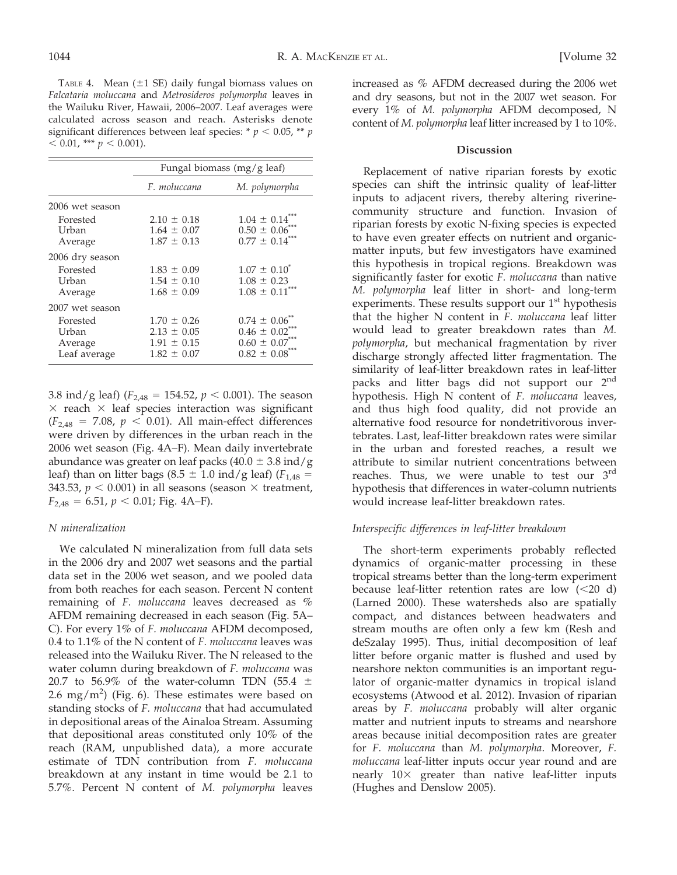TABLE 4. Mean  $(\pm 1 \text{ SE})$  daily fungal biomass values on Falcataria moluccana and Metrosideros polymorpha leaves in the Wailuku River, Hawaii, 2006–2007. Leaf averages were calculated across season and reach. Asterisks denote significant differences between leaf species: \*  $p < 0.05$ , \*\* p  $< 0.01$ , \*\*\*  $p < 0.001$ ).

|                                                                 | Fungal biomass (mg/g leaf)                                               |                                                                                              |  |  |
|-----------------------------------------------------------------|--------------------------------------------------------------------------|----------------------------------------------------------------------------------------------|--|--|
|                                                                 | F. moluccana                                                             | M. polymorpha                                                                                |  |  |
| 2006 wet season                                                 |                                                                          |                                                                                              |  |  |
| Forested<br>Urban<br>Average                                    | $2.10 \pm 0.18$<br>$1.64 \pm 0.07$<br>$1.87 \pm 0.13$                    | $1.04 \pm 0.14$<br>$0.50 \pm 0.06$ ***<br>$0.77 \pm 0.14$ ***                                |  |  |
| 2006 dry season                                                 |                                                                          |                                                                                              |  |  |
| Forested<br>Urban<br>Average                                    | $1.83 \pm 0.09$<br>$1.54 \pm 0.10$<br>$1.68 \pm 0.09$                    | $1.07 \pm 0.10^{\circ}$<br>$1.08 \pm 0.23$<br>$1.08 \pm 0.11***$                             |  |  |
| 2007 wet season<br>Forested<br>Urban<br>Average<br>Leaf average | $1.70 \pm 0.26$<br>$2.13 \pm 0.05$<br>$1.91 \pm 0.15$<br>$1.82 \pm 0.07$ | $0.74 \pm 0.06^{\circ}$<br>$0.46 \pm 0.02$ ***<br>$0.60 \pm 0.07$ ***<br>$0.82 \pm 0.08$ *** |  |  |

3.8 ind/g leaf) ( $F_{2,48} = 154.52$ ,  $p < 0.001$ ). The season  $\times$  reach  $\times$  leaf species interaction was significant  $(F_{2,48} = 7.08, p < 0.01)$ . All main-effect differences were driven by differences in the urban reach in the 2006 wet season (Fig. 4A–F). Mean daily invertebrate abundance was greater on leaf packs (40.0  $\pm$  3.8 ind/g leaf) than on litter bags (8.5  $\pm$  1.0 ind/g leaf) ( $F_{1,48}$  = 343.53,  $p < 0.001$ ) in all seasons (season  $\times$  treatment,  $F_{2,48} = 6.51, p < 0.01$ ; Fig. 4A–F).

## N mineralization

We calculated N mineralization from full data sets in the 2006 dry and 2007 wet seasons and the partial data set in the 2006 wet season, and we pooled data from both reaches for each season. Percent N content remaining of F. moluccana leaves decreased as % AFDM remaining decreased in each season (Fig. 5A– C). For every 1% of F. moluccana AFDM decomposed, 0.4 to 1.1% of the N content of F. moluccana leaves was released into the Wailuku River. The N released to the water column during breakdown of F. moluccana was 20.7 to 56.9% of the water-column TDN (55.4  $\pm$ 2.6 mg/m<sup>2</sup>) (Fig. 6). These estimates were based on standing stocks of F. moluccana that had accumulated in depositional areas of the Ainaloa Stream. Assuming that depositional areas constituted only 10% of the reach (RAM, unpublished data), a more accurate estimate of TDN contribution from F. moluccana breakdown at any instant in time would be 2.1 to 5.7%. Percent N content of M. polymorpha leaves

increased as % AFDM decreased during the 2006 wet and dry seasons, but not in the 2007 wet season. For every 1% of M. polymorpha AFDM decomposed, N content of M. polymorpha leaf litter increased by 1 to 10%.

#### Discussion

Replacement of native riparian forests by exotic species can shift the intrinsic quality of leaf-litter inputs to adjacent rivers, thereby altering riverinecommunity structure and function. Invasion of riparian forests by exotic N-fixing species is expected to have even greater effects on nutrient and organicmatter inputs, but few investigators have examined this hypothesis in tropical regions. Breakdown was significantly faster for exotic F. moluccana than native M. polymorpha leaf litter in short- and long-term experiments. These results support our 1<sup>st</sup> hypothesis that the higher N content in F. moluccana leaf litter would lead to greater breakdown rates than M. polymorpha, but mechanical fragmentation by river discharge strongly affected litter fragmentation. The similarity of leaf-litter breakdown rates in leaf-litter packs and litter bags did not support our 2<sup>nd</sup> hypothesis. High N content of F. moluccana leaves, and thus high food quality, did not provide an alternative food resource for nondetritivorous invertebrates. Last, leaf-litter breakdown rates were similar in the urban and forested reaches, a result we attribute to similar nutrient concentrations between reaches. Thus, we were unable to test our  $3<sup>rd</sup>$ hypothesis that differences in water-column nutrients would increase leaf-litter breakdown rates.

## Interspecific differences in leaf-litter breakdown

The short-term experiments probably reflected dynamics of organic-matter processing in these tropical streams better than the long-term experiment because leaf-litter retention rates are low  $(<20 d)$ (Larned 2000). These watersheds also are spatially compact, and distances between headwaters and stream mouths are often only a few km (Resh and deSzalay 1995). Thus, initial decomposition of leaf litter before organic matter is flushed and used by nearshore nekton communities is an important regulator of organic-matter dynamics in tropical island ecosystems (Atwood et al. 2012). Invasion of riparian areas by F. moluccana probably will alter organic matter and nutrient inputs to streams and nearshore areas because initial decomposition rates are greater for F. moluccana than M. polymorpha. Moreover, F. moluccana leaf-litter inputs occur year round and are nearly  $10\times$  greater than native leaf-litter inputs (Hughes and Denslow 2005).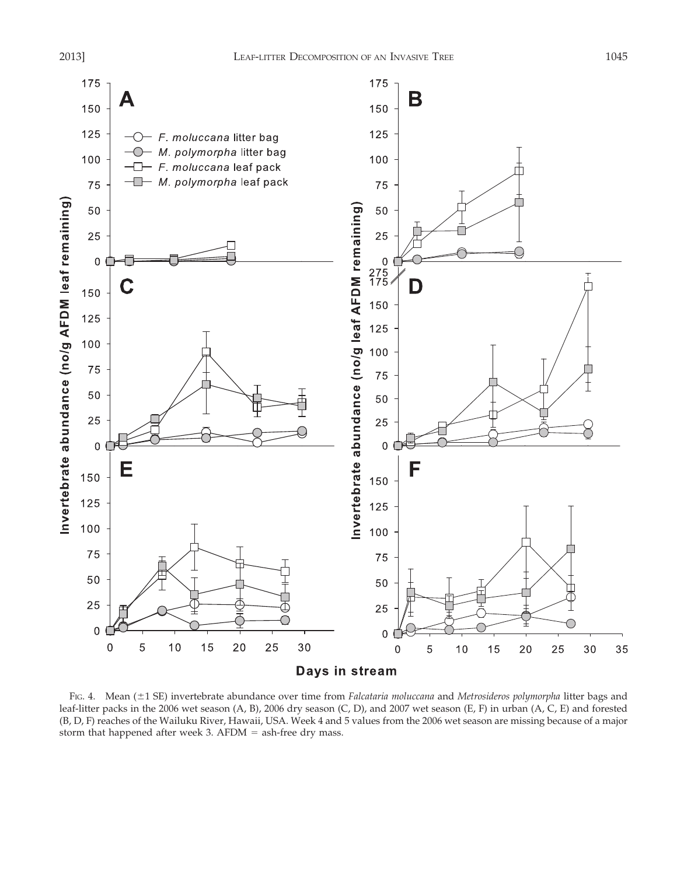

FIG. 4. Mean  $(\pm 1 \text{ SE})$  invertebrate abundance over time from Falcataria moluccana and Metrosideros polymorpha litter bags and leaf-litter packs in the 2006 wet season (A, B), 2006 dry season (C, D), and 2007 wet season (E, F) in urban (A, C, E) and forested (B, D, F) reaches of the Wailuku River, Hawaii, USA. Week 4 and 5 values from the 2006 wet season are missing because of a major storm that happened after week 3. AFDM = ash-free dry mass.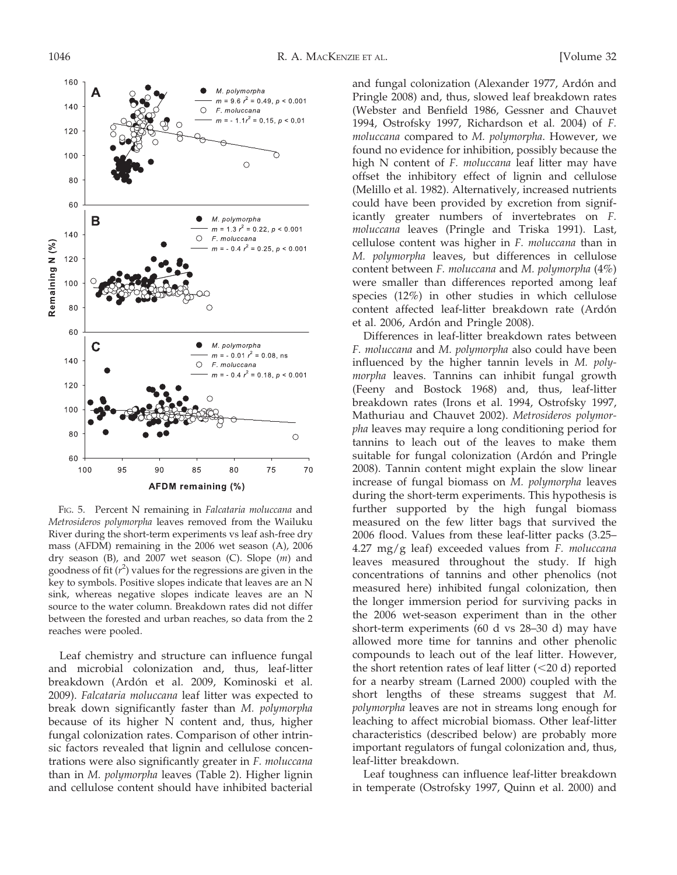

FIG. 5. Percent N remaining in Falcataria moluccana and Metrosideros polymorpha leaves removed from the Wailuku River during the short-term experiments vs leaf ash-free dry mass (AFDM) remaining in the 2006 wet season (A), 2006 dry season (B), and 2007 wet season (C). Slope (m) and goodness of fit  $(r^2)$  values for the regressions are given in the key to symbols. Positive slopes indicate that leaves are an N sink, whereas negative slopes indicate leaves are an N source to the water column. Breakdown rates did not differ between the forested and urban reaches, so data from the 2 reaches were pooled.

Leaf chemistry and structure can influence fungal and microbial colonization and, thus, leaf-litter breakdown (Ardón et al. 2009, Kominoski et al. 2009). Falcataria moluccana leaf litter was expected to break down significantly faster than M. polymorpha because of its higher N content and, thus, higher fungal colonization rates. Comparison of other intrinsic factors revealed that lignin and cellulose concentrations were also significantly greater in F. moluccana than in M. polymorpha leaves (Table 2). Higher lignin and cellulose content should have inhibited bacterial

and fungal colonization (Alexander 1977, Ardón and Pringle 2008) and, thus, slowed leaf breakdown rates (Webster and Benfield 1986, Gessner and Chauvet 1994, Ostrofsky 1997, Richardson et al. 2004) of F. moluccana compared to M. polymorpha. However, we found no evidence for inhibition, possibly because the high N content of *F. moluccana* leaf litter may have offset the inhibitory effect of lignin and cellulose (Melillo et al. 1982). Alternatively, increased nutrients could have been provided by excretion from significantly greater numbers of invertebrates on F. moluccana leaves (Pringle and Triska 1991). Last, cellulose content was higher in F. moluccana than in M. polymorpha leaves, but differences in cellulose content between F. moluccana and M. polymorpha (4%) were smaller than differences reported among leaf species (12%) in other studies in which cellulose content affected leaf-litter breakdown rate (Ardón et al. 2006, Ardón and Pringle 2008).

Differences in leaf-litter breakdown rates between F. moluccana and M. polymorpha also could have been influenced by the higher tannin levels in M. polymorpha leaves. Tannins can inhibit fungal growth (Feeny and Bostock 1968) and, thus, leaf-litter breakdown rates (Irons et al. 1994, Ostrofsky 1997, Mathuriau and Chauvet 2002). Metrosideros polymorpha leaves may require a long conditioning period for tannins to leach out of the leaves to make them suitable for fungal colonization (Ardón and Pringle 2008). Tannin content might explain the slow linear increase of fungal biomass on M. polymorpha leaves during the short-term experiments. This hypothesis is further supported by the high fungal biomass measured on the few litter bags that survived the 2006 flood. Values from these leaf-litter packs (3.25– 4.27 mg/g leaf) exceeded values from F. moluccana leaves measured throughout the study. If high concentrations of tannins and other phenolics (not measured here) inhibited fungal colonization, then the longer immersion period for surviving packs in the 2006 wet-season experiment than in the other short-term experiments (60 d vs 28–30 d) may have allowed more time for tannins and other phenolic compounds to leach out of the leaf litter. However, the short retention rates of leaf litter  $(<20 d)$  reported for a nearby stream (Larned 2000) coupled with the short lengths of these streams suggest that M. polymorpha leaves are not in streams long enough for leaching to affect microbial biomass. Other leaf-litter characteristics (described below) are probably more important regulators of fungal colonization and, thus, leaf-litter breakdown.

Leaf toughness can influence leaf-litter breakdown in temperate (Ostrofsky 1997, Quinn et al. 2000) and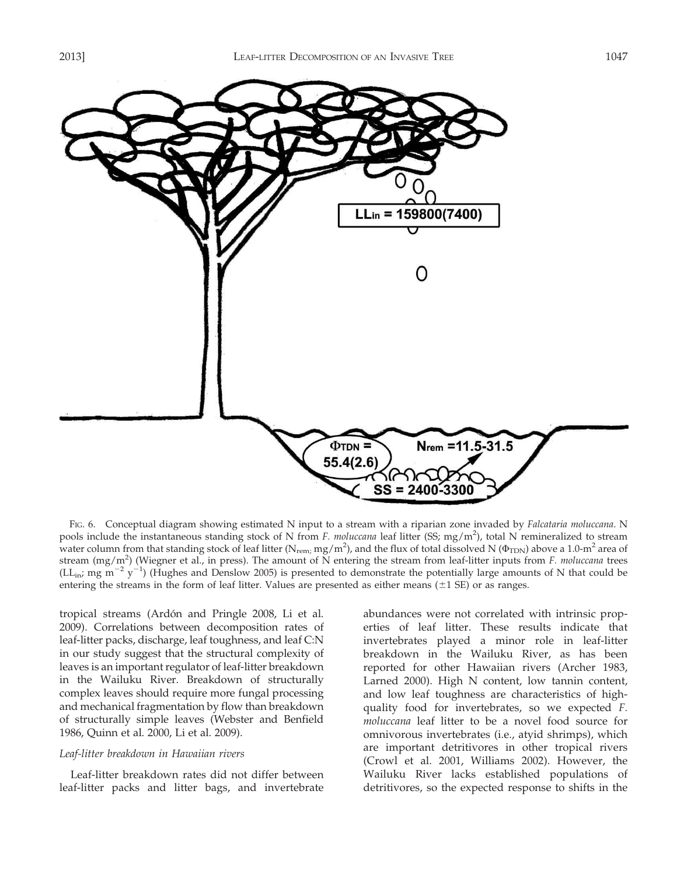

FIG. 6. Conceptual diagram showing estimated N input to a stream with a riparian zone invaded by Falcataria moluccana. N pools include the instantaneous standing stock of N from F. moluccana leaf litter (SS; mg/m<sup>2</sup>), total N remineralized to stream water column from that standing stock of leaf litter (N $_{\rm rem;}$  mg/m $^2$ ), and the flux of total dissolved N ( $\Phi_{\rm TDN}$ ) above a 1.0-m $^2$  area of stream (mg/m<sup>2</sup>) (Wiegner et al., in press). The amount of N entering the stream from leaf-litter inputs from F. moluccana trees (LL<sub>in</sub>; mg m<sup>-2</sup> y<sup>-1</sup>) (Hughes and Denslow 2005) is presented to demonstrate the potentially large amounts of N that could be entering the streams in the form of leaf litter. Values are presented as either means  $(\pm 1 \text{ SE})$  or as ranges.

tropical streams (Ardón and Pringle 2008, Li et al. 2009). Correlations between decomposition rates of leaf-litter packs, discharge, leaf toughness, and leaf C:N in our study suggest that the structural complexity of leaves is an important regulator of leaf-litter breakdown in the Wailuku River. Breakdown of structurally complex leaves should require more fungal processing and mechanical fragmentation by flow than breakdown of structurally simple leaves (Webster and Benfield 1986, Quinn et al. 2000, Li et al. 2009).

## Leaf-litter breakdown in Hawaiian rivers

Leaf-litter breakdown rates did not differ between leaf-litter packs and litter bags, and invertebrate abundances were not correlated with intrinsic properties of leaf litter. These results indicate that invertebrates played a minor role in leaf-litter breakdown in the Wailuku River, as has been reported for other Hawaiian rivers (Archer 1983, Larned 2000). High N content, low tannin content, and low leaf toughness are characteristics of highquality food for invertebrates, so we expected F. moluccana leaf litter to be a novel food source for omnivorous invertebrates (i.e., atyid shrimps), which are important detritivores in other tropical rivers (Crowl et al. 2001, Williams 2002). However, the Wailuku River lacks established populations of detritivores, so the expected response to shifts in the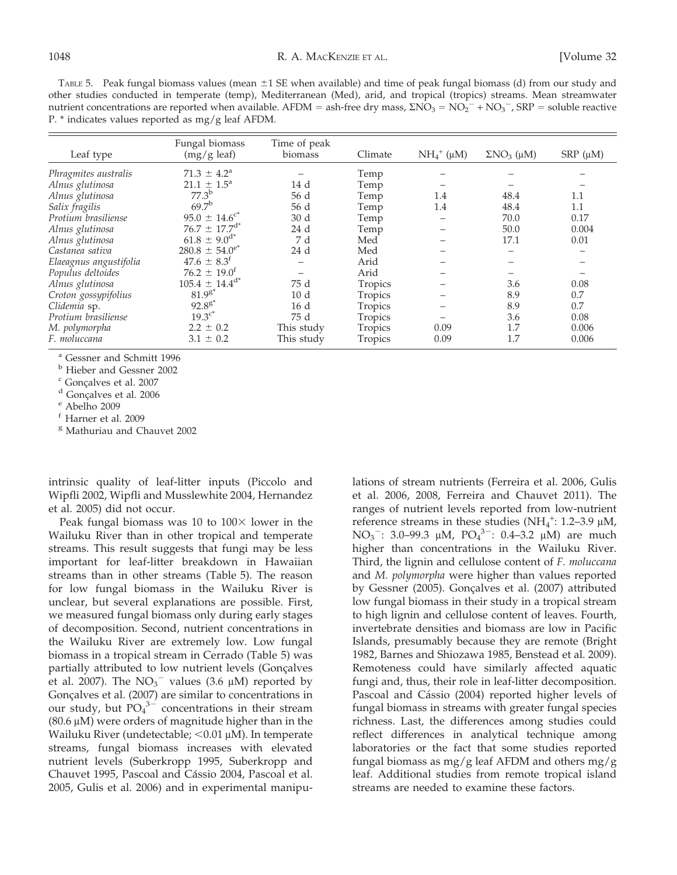TABLE 5. Peak fungal biomass values (mean  $\pm 1$  SE when available) and time of peak fungal biomass (d) from our study and other studies conducted in temperate (temp), Mediterranean (Med), arid, and tropical (tropics) streams. Mean streamwater nutrient concentrations are reported when available. AFDM = ash-free dry mass,  $\Sigma NO_3 = NO_2^{-2} + NO_3^{-}$ , SRP = soluble reactive P. \* indicates values reported as mg/g leaf AFDM.

| Leaf type              | Fungal biomass<br>$(mg/g \text{ leaf})$ | Time of peak<br>biomass | Climate | $NH_4^+$ (µM) | $\Sigma NO_3 (\mu M)$ | $SRP(\mu M)$ |
|------------------------|-----------------------------------------|-------------------------|---------|---------------|-----------------------|--------------|
| Phragmites australis   | $71.3 \pm 4.2^{\circ}$                  |                         | Temp    |               |                       |              |
| Alnus glutinosa        | $21.1 \pm 1.5^{\circ}$                  | 14 d                    | Temp    |               |                       |              |
| Alnus glutinosa        | $77.3^{b}$                              | 56 d                    | Temp    | 1.4           | 48.4                  | 1.1          |
| Salix fragilis         | $69.7^{b}$                              | 56 d                    | Temp    | 1.4           | 48.4                  | 1.1          |
| Protium brasiliense    | $95.0 \pm 14.6$ <sup>c*</sup>           | 30 <sub>d</sub>         | Temp    |               | 70.0                  | 0.17         |
| Alnus glutinosa        | $76.7 \pm 17.7$ <sup>d*</sup>           | 24 d                    | Temp    |               | 50.0                  | 0.004        |
| Alnus glutinosa        | $61.8 \pm 9.0^{d*}$                     | 7 d                     | Med     |               | 17.1                  | 0.01         |
| Castanea sativa        | $280.8 \pm 54.0$ <sup>e*</sup>          | 24 d                    | Med     |               |                       |              |
| Elaeagnus angustifolia | $47.6 \pm 8.3^{\text{t}}$               |                         | Arid    |               |                       |              |
| Populus deltoides      | $76.2 \pm 19.0^{\text{t}}$              |                         | Arid    |               |                       |              |
| Alnus glutinosa        | $105.4 \pm 14.4^{\mathrm{d}*}$          | 75 d                    | Tropics |               | 3.6                   | 0.08         |
| Croton gossypifolius   | $81.98*$                                | 10 <sub>d</sub>         | Tropics |               | 8.9                   | 0.7          |
| Clidemia sp.           | $92.8^{8*}$                             | 16d                     | Tropics |               | 8.9                   | 0.7          |
| Protium brasiliense    | $19.3^{c*}$                             | 75 d                    | Tropics |               | 3.6                   | 0.08         |
| M. polymorpha          | $2.2 \pm 0.2$                           | This study              | Tropics | 0.09          | 1.7                   | 0.006        |
| F. moluccana           | $3.1 \pm 0.2$                           | This study              | Tropics | 0.09          | 1.7                   | 0.006        |

<sup>a</sup> Gessner and Schmitt 1996

 $\frac{b}{c}$  Hieber and Gessner 2002<br>  $\frac{c}{c}$  Gonçalves et al. 2007

 $\frac{d}{e}$  Gonçalves et al. 2006<br>  $\frac{e}{e}$  Abelho 2009

<sup>g</sup> Mathuriau and Chauvet 2002

intrinsic quality of leaf-litter inputs (Piccolo and Wipfli 2002, Wipfli and Musslewhite 2004, Hernandez et al. 2005) did not occur.

Peak fungal biomass was 10 to  $100\times$  lower in the Wailuku River than in other tropical and temperate streams. This result suggests that fungi may be less important for leaf-litter breakdown in Hawaiian streams than in other streams (Table 5). The reason for low fungal biomass in the Wailuku River is unclear, but several explanations are possible. First, we measured fungal biomass only during early stages of decomposition. Second, nutrient concentrations in the Wailuku River are extremely low. Low fungal biomass in a tropical stream in Cerrado (Table 5) was partially attributed to low nutrient levels (Gonçalves et al. 2007). The  $NO_3^-$  values (3.6  $\mu$ M) reported by Gonçalves et al. (2007) are similar to concentrations in our study, but  $\overline{PO_4}^{3-}$  concentrations in their stream  $(80.6 \,\mu\text{M})$  were orders of magnitude higher than in the Wailuku River (undetectable;  $<$  0.01  $\mu$ M). In temperate streams, fungal biomass increases with elevated nutrient levels (Suberkropp 1995, Suberkropp and Chauvet 1995, Pascoal and Cássio 2004, Pascoal et al. 2005, Gulis et al. 2006) and in experimental manipulations of stream nutrients (Ferreira et al. 2006, Gulis et al. 2006, 2008, Ferreira and Chauvet 2011). The ranges of nutrient levels reported from low-nutrient reference streams in these studies  $(NH_4^{\text{+}}: 1.2-3.9 \mu M,$ NO<sub>3</sub><sup>-</sup>: 3.0–99.3 µM, PO<sub>4</sub><sup>3-</sup>: 0.4–3.2 µM) are much higher than concentrations in the Wailuku River. Third, the lignin and cellulose content of F. moluccana and M. polymorpha were higher than values reported by Gessner (2005). Gonçalves et al. (2007) attributed low fungal biomass in their study in a tropical stream to high lignin and cellulose content of leaves. Fourth, invertebrate densities and biomass are low in Pacific Islands, presumably because they are remote (Bright 1982, Barnes and Shiozawa 1985, Benstead et al. 2009). Remoteness could have similarly affected aquatic fungi and, thus, their role in leaf-litter decomposition. Pascoal and Cássio (2004) reported higher levels of fungal biomass in streams with greater fungal species richness. Last, the differences among studies could reflect differences in analytical technique among laboratories or the fact that some studies reported fungal biomass as  $mg/g$  leaf AFDM and others  $mg/g$ leaf. Additional studies from remote tropical island streams are needed to examine these factors.

<sup>f</sup> Harner et al. 2009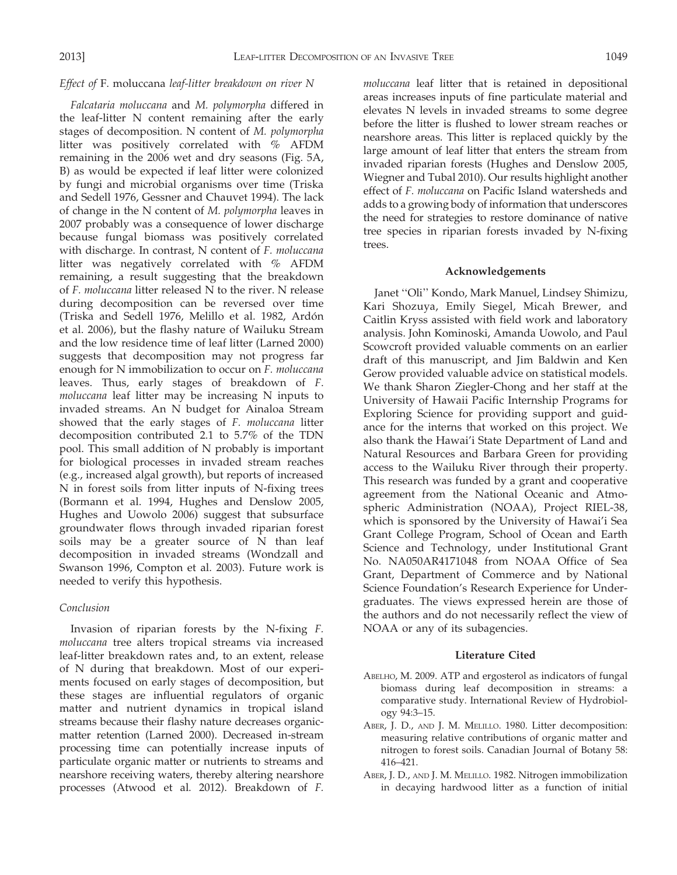#### Effect of F. moluccana leaf-litter breakdown on river N

Falcataria moluccana and M. polymorpha differed in the leaf-litter N content remaining after the early stages of decomposition. N content of M. polymorpha litter was positively correlated with % AFDM remaining in the 2006 wet and dry seasons (Fig. 5A, B) as would be expected if leaf litter were colonized by fungi and microbial organisms over time (Triska and Sedell 1976, Gessner and Chauvet 1994). The lack of change in the N content of M. polymorpha leaves in 2007 probably was a consequence of lower discharge because fungal biomass was positively correlated with discharge. In contrast, N content of F. moluccana litter was negatively correlated with % AFDM remaining, a result suggesting that the breakdown of F. moluccana litter released N to the river. N release during decomposition can be reversed over time (Triska and Sedell 1976, Melillo et al. 1982, Ardón et al. 2006), but the flashy nature of Wailuku Stream and the low residence time of leaf litter (Larned 2000) suggests that decomposition may not progress far enough for N immobilization to occur on F. moluccana leaves. Thus, early stages of breakdown of F. moluccana leaf litter may be increasing N inputs to invaded streams. An N budget for Ainaloa Stream showed that the early stages of F. moluccana litter decomposition contributed 2.1 to 5.7% of the TDN pool. This small addition of N probably is important for biological processes in invaded stream reaches (e.g., increased algal growth), but reports of increased N in forest soils from litter inputs of N-fixing trees (Bormann et al. 1994, Hughes and Denslow 2005, Hughes and Uowolo 2006) suggest that subsurface groundwater flows through invaded riparian forest soils may be a greater source of N than leaf decomposition in invaded streams (Wondzall and Swanson 1996, Compton et al. 2003). Future work is needed to verify this hypothesis.

## Conclusion

Invasion of riparian forests by the N-fixing F. moluccana tree alters tropical streams via increased leaf-litter breakdown rates and, to an extent, release of N during that breakdown. Most of our experiments focused on early stages of decomposition, but these stages are influential regulators of organic matter and nutrient dynamics in tropical island streams because their flashy nature decreases organicmatter retention (Larned 2000). Decreased in-stream processing time can potentially increase inputs of particulate organic matter or nutrients to streams and nearshore receiving waters, thereby altering nearshore processes (Atwood et al. 2012). Breakdown of F. moluccana leaf litter that is retained in depositional areas increases inputs of fine particulate material and elevates N levels in invaded streams to some degree before the litter is flushed to lower stream reaches or nearshore areas. This litter is replaced quickly by the large amount of leaf litter that enters the stream from invaded riparian forests (Hughes and Denslow 2005, Wiegner and Tubal 2010). Our results highlight another effect of F. moluccana on Pacific Island watersheds and adds to a growing body of information that underscores the need for strategies to restore dominance of native tree species in riparian forests invaded by N-fixing trees.

#### Acknowledgements

Janet ''Oli'' Kondo, Mark Manuel, Lindsey Shimizu, Kari Shozuya, Emily Siegel, Micah Brewer, and Caitlin Kryss assisted with field work and laboratory analysis. John Kominoski, Amanda Uowolo, and Paul Scowcroft provided valuable comments on an earlier draft of this manuscript, and Jim Baldwin and Ken Gerow provided valuable advice on statistical models. We thank Sharon Ziegler-Chong and her staff at the University of Hawaii Pacific Internship Programs for Exploring Science for providing support and guidance for the interns that worked on this project. We also thank the Hawai'i State Department of Land and Natural Resources and Barbara Green for providing access to the Wailuku River through their property. This research was funded by a grant and cooperative agreement from the National Oceanic and Atmospheric Administration (NOAA), Project RIEL-38, which is sponsored by the University of Hawai'i Sea Grant College Program, School of Ocean and Earth Science and Technology, under Institutional Grant No. NA050AR4171048 from NOAA Office of Sea Grant, Department of Commerce and by National Science Foundation's Research Experience for Undergraduates. The views expressed herein are those of the authors and do not necessarily reflect the view of NOAA or any of its subagencies.

#### Literature Cited

- ABELHO, M. 2009. ATP and ergosterol as indicators of fungal biomass during leaf decomposition in streams: a comparative study. International Review of Hydrobiology 94:3–15.
- ABER, J. D., AND J. M. MELILLO. 1980. Litter decomposition: measuring relative contributions of organic matter and nitrogen to forest soils. Canadian Journal of Botany 58: 416–421.
- ABER, J. D., AND J. M. MELILLO. 1982. Nitrogen immobilization in decaying hardwood litter as a function of initial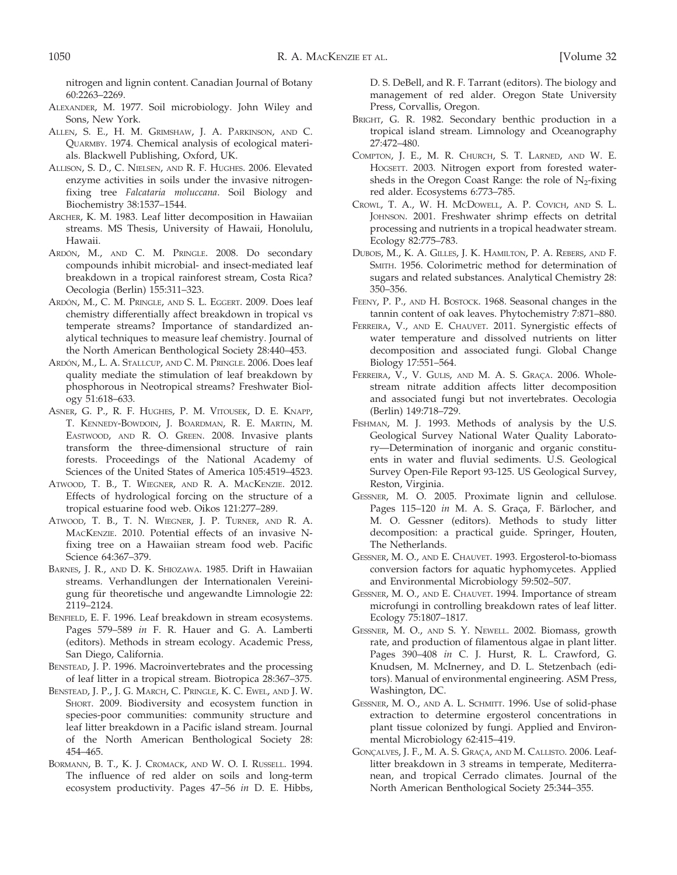nitrogen and lignin content. Canadian Journal of Botany 60:2263–2269.

- ALEXANDER, M. 1977. Soil microbiology. John Wiley and Sons, New York.
- ALLEN, S. E., H. M. GRIMSHAW, J. A. PARKINSON, AND C. QUARMBY. 1974. Chemical analysis of ecological materials. Blackwell Publishing, Oxford, UK.
- ALLISON, S. D., C. NIELSEN, AND R. F. HUGHES. 2006. Elevated enzyme activities in soils under the invasive nitrogenfixing tree Falcataria moluccana. Soil Biology and Biochemistry 38:1537–1544.
- ARCHER, K. M. 1983. Leaf litter decomposition in Hawaiian streams. MS Thesis, University of Hawaii, Honolulu, Hawaii.
- ARDÓN, M., AND C. M. PRINGLE. 2008. Do secondary compounds inhibit microbial- and insect-mediated leaf breakdown in a tropical rainforest stream, Costa Rica? Oecologia (Berlin) 155:311–323.
- ARDÓN, M., C. M. PRINGLE, AND S. L. EGGERT. 2009. Does leaf chemistry differentially affect breakdown in tropical vs temperate streams? Importance of standardized analytical techniques to measure leaf chemistry. Journal of the North American Benthological Society 28:440–453.
- ARDÓN, M., L. A. STALLCUP, AND C. M. PRINGLE. 2006. Does leaf quality mediate the stimulation of leaf breakdown by phosphorous in Neotropical streams? Freshwater Biology 51:618–633.
- ASNER, G. P., R. F. HUGHES, P. M. VITOUSEK, D. E. KNAPP, T. KENNEDY-BOWDOIN, J. BOARDMAN, R. E. MARTIN, M. EASTWOOD, AND R. O. GREEN. 2008. Invasive plants transform the three-dimensional structure of rain forests. Proceedings of the National Academy of Sciences of the United States of America 105:4519–4523.
- ATWOOD, T. B., T. WIEGNER, AND R. A. MACKENZIE. 2012. Effects of hydrological forcing on the structure of a tropical estuarine food web. Oikos 121:277–289.
- ATWOOD, T. B., T. N. WIEGNER, J. P. TURNER, AND R. A. MACKENZIE. 2010. Potential effects of an invasive Nfixing tree on a Hawaiian stream food web. Pacific Science 64:367–379.
- BARNES, J. R., AND D. K. SHIOZAWA. 1985. Drift in Hawaiian streams. Verhandlungen der Internationalen Vereinigung für theoretische und angewandte Limnologie 22: 2119–2124.
- BENFIELD, E. F. 1996. Leaf breakdown in stream ecosystems. Pages 579–589 in F. R. Hauer and G. A. Lamberti (editors). Methods in stream ecology. Academic Press, San Diego, California.
- BENSTEAD, J. P. 1996. Macroinvertebrates and the processing of leaf litter in a tropical stream. Biotropica 28:367–375.
- BENSTEAD, J. P., J. G. MARCH, C. PRINGLE, K. C. EWEL, AND J. W. SHORT. 2009. Biodiversity and ecosystem function in species-poor communities: community structure and leaf litter breakdown in a Pacific island stream. Journal of the North American Benthological Society 28: 454–465.
- BORMANN, B. T., K. J. CROMACK, AND W. O. I. RUSSELL. 1994. The influence of red alder on soils and long-term ecosystem productivity. Pages 47–56 in D. E. Hibbs,

D. S. DeBell, and R. F. Tarrant (editors). The biology and management of red alder. Oregon State University Press, Corvallis, Oregon.

- BRIGHT, G. R. 1982. Secondary benthic production in a tropical island stream. Limnology and Oceanography 27:472–480.
- COMPTON, J. E., M. R. CHURCH, S. T. LARNED, AND W. E. HOGSETT. 2003. Nitrogen export from forested watersheds in the Oregon Coast Range: the role of  $N_2$ -fixing red alder. Ecosystems 6:773–785.
- CROWL, T. A., W. H. MCDOWELL, A. P. COVICH, AND S. L. JOHNSON. 2001. Freshwater shrimp effects on detrital processing and nutrients in a tropical headwater stream. Ecology 82:775–783.
- DUBOIS, M., K. A. GILLES, J. K. HAMILTON, P. A. REBERS, AND F. SMITH. 1956. Colorimetric method for determination of sugars and related substances. Analytical Chemistry 28: 350–356.
- FEENY, P. P., AND H. BOSTOCK. 1968. Seasonal changes in the tannin content of oak leaves. Phytochemistry 7:871–880.
- FERREIRA, V., AND E. CHAUVET. 2011. Synergistic effects of water temperature and dissolved nutrients on litter decomposition and associated fungi. Global Change Biology 17:551–564.
- FERREIRA, V., V. GULIS, AND M. A. S. GRAÇA. 2006. Wholestream nitrate addition affects litter decomposition and associated fungi but not invertebrates. Oecologia (Berlin) 149:718–729.
- FISHMAN, M. J. 1993. Methods of analysis by the U.S. Geological Survey National Water Quality Laboratory—Determination of inorganic and organic constituents in water and fluvial sediments. U.S. Geological Survey Open-File Report 93-125. US Geological Survey, Reston, Virginia.
- GESSNER, M. O. 2005. Proximate lignin and cellulose. Pages 115–120 in M. A. S. Graça, F. Bärlocher, and M. O. Gessner (editors). Methods to study litter decomposition: a practical guide. Springer, Houten, The Netherlands.
- GESSNER, M. O., AND E. CHAUVET. 1993. Ergosterol-to-biomass conversion factors for aquatic hyphomycetes. Applied and Environmental Microbiology 59:502–507.
- GESSNER, M. O., AND E. CHAUVET. 1994. Importance of stream microfungi in controlling breakdown rates of leaf litter. Ecology 75:1807–1817.
- GESSNER, M. O., AND S. Y. NEWELL. 2002. Biomass, growth rate, and production of filamentous algae in plant litter. Pages 390–408 in C. J. Hurst, R. L. Crawford, G. Knudsen, M. McInerney, and D. L. Stetzenbach (editors). Manual of environmental engineering. ASM Press, Washington, DC.
- GESSNER, M. O., AND A. L. SCHMITT. 1996. Use of solid-phase extraction to determine ergosterol concentrations in plant tissue colonized by fungi. Applied and Environmental Microbiology 62:415–419.
- GONÇALVES, J. F., M. A. S. GRAÇA, AND M. CALLISTO. 2006. Leaflitter breakdown in 3 streams in temperate, Mediterranean, and tropical Cerrado climates. Journal of the North American Benthological Society 25:344–355.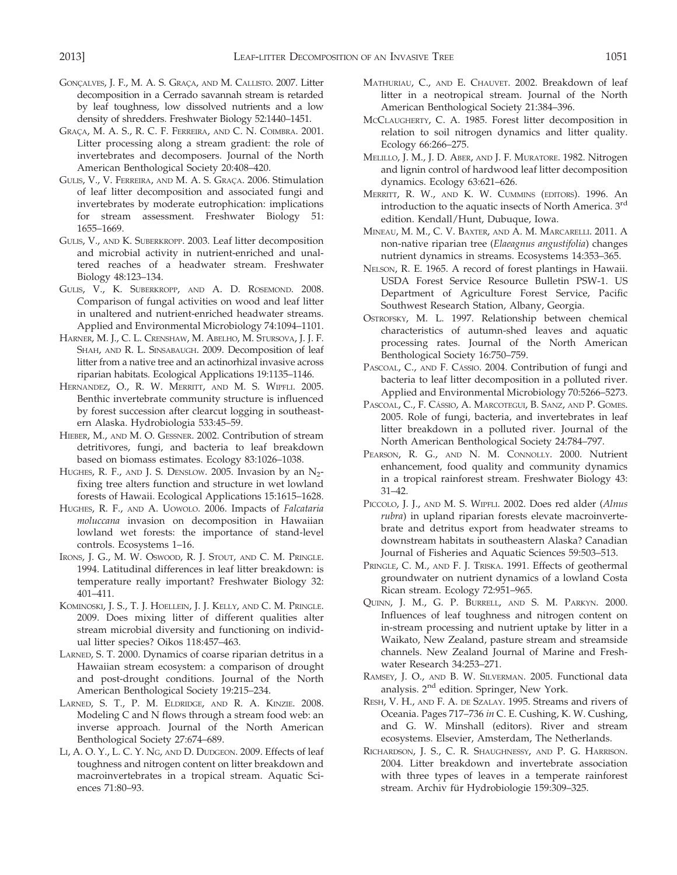- GONÇALVES, J. F., M. A. S. GRAÇA, AND M. CALLISTO. 2007. Litter decomposition in a Cerrado savannah stream is retarded by leaf toughness, low dissolved nutrients and a low density of shredders. Freshwater Biology 52:1440–1451.
- GRAÇA, M. A. S., R. C. F. FERREIRA, AND C. N. COIMBRA. 2001. Litter processing along a stream gradient: the role of invertebrates and decomposers. Journal of the North American Benthological Society 20:408–420.
- GULIS, V., V. FERREIRA, AND M. A. S. GRAÇA. 2006. Stimulation of leaf litter decomposition and associated fungi and invertebrates by moderate eutrophication: implications for stream assessment. Freshwater Biology 51: 1655–1669.
- GULIS, V., AND K. SUBERKROPP. 2003. Leaf litter decomposition and microbial activity in nutrient-enriched and unaltered reaches of a headwater stream. Freshwater Biology 48:123–134.
- GULIS, V., K. SUBERKROPP, AND A. D. ROSEMOND. 2008. Comparison of fungal activities on wood and leaf litter in unaltered and nutrient-enriched headwater streams. Applied and Environmental Microbiology 74:1094–1101.
- HARNER, M. J., C. L. CRENSHAW, M. ABELHO, M. STURSOVA, J. J. F. SHAH, AND R. L. SINSABAUGH. 2009. Decomposition of leaf litter from a native tree and an actinorhizal invasive across riparian habitats. Ecological Applications 19:1135–1146.
- HERNANDEZ, O., R. W. MERRITT, AND M. S. WIPFLI. 2005. Benthic invertebrate community structure is influenced by forest succession after clearcut logging in southeastern Alaska. Hydrobiologia 533:45–59.
- HIEBER, M., AND M. O. GESSNER. 2002. Contribution of stream detritivores, fungi, and bacteria to leaf breakdown based on biomass estimates. Ecology 83:1026–1038.
- HUGHES, R. F., AND J. S. DENSLOW. 2005. Invasion by an  $N_2$ fixing tree alters function and structure in wet lowland forests of Hawaii. Ecological Applications 15:1615–1628.
- HUGHES, R. F., AND A. UOWOLO. 2006. Impacts of Falcataria moluccana invasion on decomposition in Hawaiian lowland wet forests: the importance of stand-level controls. Ecosystems 1–16.
- IRONS, J. G., M. W. OSWOOD, R. J. STOUT, AND C. M. PRINGLE. 1994. Latitudinal differences in leaf litter breakdown: is temperature really important? Freshwater Biology 32: 401–411.
- KOMINOSKI, J. S., T. J. HOELLEIN, J. J. KELLY, AND C. M. PRINGLE. 2009. Does mixing litter of different qualities alter stream microbial diversity and functioning on individual litter species? Oikos 118:457–463.
- LARNED, S. T. 2000. Dynamics of coarse riparian detritus in a Hawaiian stream ecosystem: a comparison of drought and post-drought conditions. Journal of the North American Benthological Society 19:215–234.
- LARNED, S. T., P. M. ELDRIDGE, AND R. A. KINZIE. 2008. Modeling C and N flows through a stream food web: an inverse approach. Journal of the North American Benthological Society 27:674–689.
- LI, A. O. Y., L. C. Y. NG, AND D. DUDGEON. 2009. Effects of leaf toughness and nitrogen content on litter breakdown and macroinvertebrates in a tropical stream. Aquatic Sciences 71:80–93.
- MATHURIAU, C., AND E. CHAUVET. 2002. Breakdown of leaf litter in a neotropical stream. Journal of the North American Benthological Society 21:384–396.
- MCCLAUGHERTY, C. A. 1985. Forest litter decomposition in relation to soil nitrogen dynamics and litter quality. Ecology 66:266–275.
- MELILLO, J. M., J. D. ABER, AND J. F. MURATORE. 1982. Nitrogen and lignin control of hardwood leaf litter decomposition dynamics. Ecology 63:621–626.
- MERRITT, R. W., AND K. W. CUMMINS (EDITORS). 1996. An introduction to the aquatic insects of North America. 3<sup>rd</sup> edition. Kendall/Hunt, Dubuque, Iowa.
- MINEAU, M. M., C. V. BAXTER, AND A. M. MARCARELLI. 2011. A non-native riparian tree (Elaeagnus angustifolia) changes nutrient dynamics in streams. Ecosystems 14:353–365.
- NELSON, R. E. 1965. A record of forest plantings in Hawaii. USDA Forest Service Resource Bulletin PSW-1. US Department of Agriculture Forest Service, Pacific Southwest Research Station, Albany, Georgia.
- OSTROFSKY, M. L. 1997. Relationship between chemical characteristics of autumn-shed leaves and aquatic processing rates. Journal of the North American Benthological Society 16:750–759.
- PASCOAL, C., AND F. CÁSSIO. 2004. Contribution of fungi and bacteria to leaf litter decomposition in a polluted river. Applied and Environmental Microbiology 70:5266–5273.
- PASCOAL, C., F. CÁSSIO, A. MARCOTEGUI, B. SANZ, AND P. GOMES. 2005. Role of fungi, bacteria, and invertebrates in leaf litter breakdown in a polluted river. Journal of the North American Benthological Society 24:784–797.
- PEARSON, R. G., AND N. M. CONNOLLY. 2000. Nutrient enhancement, food quality and community dynamics in a tropical rainforest stream. Freshwater Biology 43: 31–42.
- PICCOLO, J. J., AND M. S. WIPFLI. 2002. Does red alder (Alnus rubra) in upland riparian forests elevate macroinvertebrate and detritus export from headwater streams to downstream habitats in southeastern Alaska? Canadian Journal of Fisheries and Aquatic Sciences 59:503–513.
- PRINGLE, C. M., AND F. J. TRISKA. 1991. Effects of geothermal groundwater on nutrient dynamics of a lowland Costa Rican stream. Ecology 72:951–965.
- QUINN, J. M., G. P. BURRELL, AND S. M. PARKYN. 2000. Influences of leaf toughness and nitrogen content on in-stream processing and nutrient uptake by litter in a Waikato, New Zealand, pasture stream and streamside channels. New Zealand Journal of Marine and Freshwater Research 34:253–271.
- RAMSEY, J. O., AND B. W. SILVERMAN. 2005. Functional data analysis. 2<sup>nd</sup> edition. Springer, New York.
- RESH, V. H., AND F. A. DE SZALAY. 1995. Streams and rivers of Oceania. Pages 717–736 in C. E. Cushing, K. W. Cushing, and G. W. Minshall (editors). River and stream ecosystems. Elsevier, Amsterdam, The Netherlands.
- RICHARDSON, J. S., C. R. SHAUGHNESSY, AND P. G. HARRISON. 2004. Litter breakdown and invertebrate association with three types of leaves in a temperate rainforest stream. Archiv für Hydrobiologie 159:309-325.